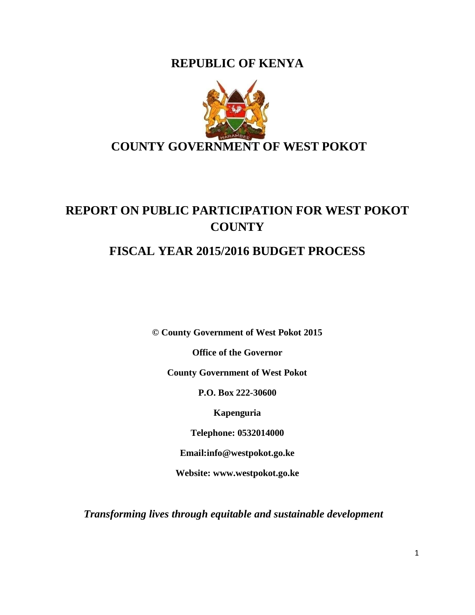**REPUBLIC OF KENYA**



# **REPORT ON PUBLIC PARTICIPATION FOR WEST POKOT COUNTY**

# **FISCAL YEAR 2015/2016 BUDGET PROCESS**

**© County Government of West Pokot 2015**

**Office of the Governor**

**County Government of West Pokot**

**P.O. Box 222-30600**

**Kapenguria**

**Telephone: 0532014000**

**Email:info@westpokot.go.ke**

**Website: www.westpokot.go.ke**

*Transforming lives through equitable and sustainable development*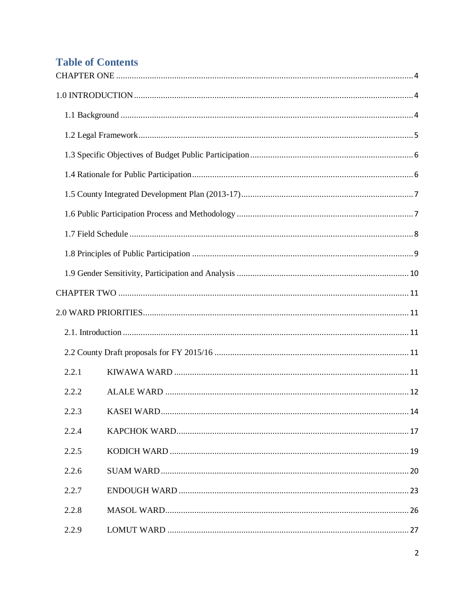# **Table of Contents**

| 2.2.1 |  |
|-------|--|
| 2.2.2 |  |
| 2.2.3 |  |
| 2.2.4 |  |
| 2.2.5 |  |
| 2.2.6 |  |
| 2.2.7 |  |
| 2.2.8 |  |
| 2.2.9 |  |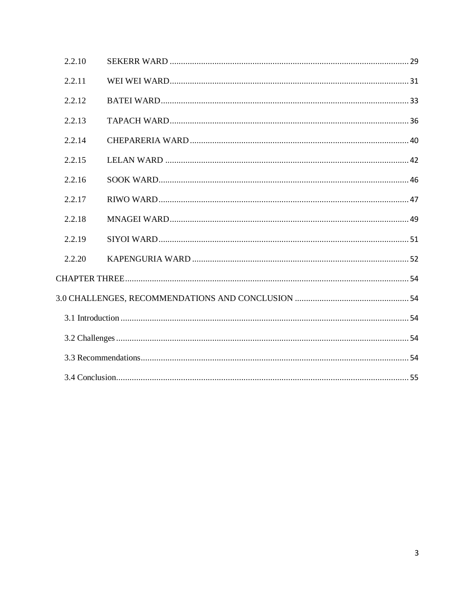| 2.2.10 |  |
|--------|--|
| 2.2.11 |  |
| 2.2.12 |  |
| 2.2.13 |  |
| 2.2.14 |  |
| 2.2.15 |  |
| 2.2.16 |  |
| 2.2.17 |  |
| 2.2.18 |  |
| 2.2.19 |  |
| 2.2.20 |  |
|        |  |
|        |  |
|        |  |
|        |  |
|        |  |
|        |  |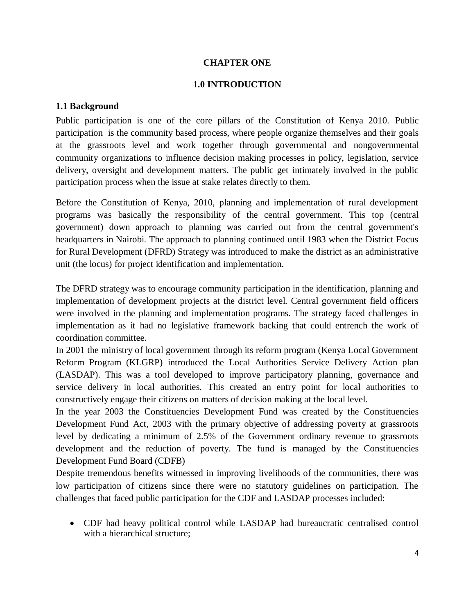#### **CHAPTER ONE**

#### **1.0 INTRODUCTION**

#### <span id="page-3-2"></span><span id="page-3-1"></span><span id="page-3-0"></span>**1.1 Background**

Public participation is one of the core pillars of the Constitution of Kenya 2010. Public participation is the community based process, where people organize themselves and their goals at the grassroots level and work together through governmental and nongovernmental community organizations to influence decision making processes in policy, legislation, service delivery, oversight and development matters. The public get intimately involved in the public participation process when the issue at stake relates directly to them.

Before the Constitution of Kenya, 2010, planning and implementation of rural development programs was basically the responsibility of the central government. This top (central government) down approach to planning was carried out from the central government's headquarters in Nairobi. The approach to planning continued until 1983 when the District Focus for Rural Development (DFRD) Strategy was introduced to make the district as an administrative unit (the locus) for project identification and implementation.

The DFRD strategy was to encourage community participation in the identification, planning and implementation of development projects at the district level. Central government field officers were involved in the planning and implementation programs. The strategy faced challenges in implementation as it had no legislative framework backing that could entrench the work of coordination committee.

In 2001 the ministry of local government through its reform program (Kenya Local Government Reform Program (KLGRP) introduced the Local Authorities Service Delivery Action plan (LASDAP). This was a tool developed to improve participatory planning, governance and service delivery in local authorities. This created an entry point for local authorities to constructively engage their citizens on matters of decision making at the local level.

In the year 2003 the Constituencies Development Fund was created by the Constituencies Development Fund Act, 2003 with the primary objective of addressing poverty at grassroots level by dedicating a minimum of 2.5% of the Government ordinary revenue to grassroots development and the reduction of poverty. The fund is managed by the Constituencies Development Fund Board (CDFB)

Despite tremendous benefits witnessed in improving livelihoods of the communities, there was low participation of citizens since there were no statutory guidelines on participation. The challenges that faced public participation for the CDF and LASDAP processes included:

 CDF had heavy political control while LASDAP had bureaucratic centralised control with a hierarchical structure;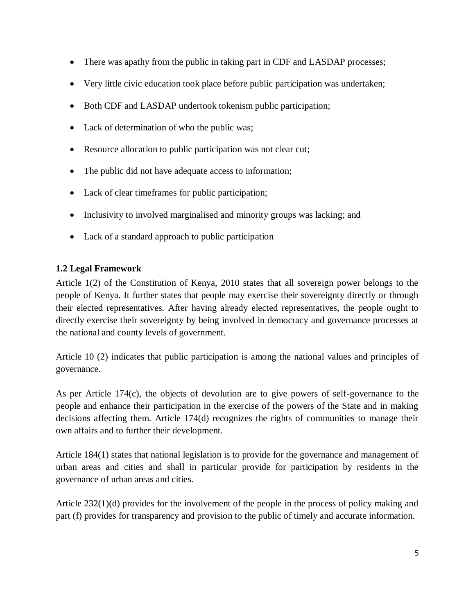- There was apathy from the public in taking part in CDF and LASDAP processes;
- Very little civic education took place before public participation was undertaken;
- Both CDF and LASDAP undertook tokenism public participation;
- Lack of determination of who the public was;
- Resource allocation to public participation was not clear cut;
- The public did not have adequate access to information;
- Lack of clear timeframes for public participation;
- Inclusivity to involved marginalised and minority groups was lacking; and
- Lack of a standard approach to public participation

# <span id="page-4-0"></span>**1.2 Legal Framework**

Article 1(2) of the Constitution of Kenya, 2010 states that all sovereign power belongs to the people of Kenya. It further states that people may exercise their sovereignty directly or through their elected representatives. After having already elected representatives, the people ought to directly exercise their sovereignty by being involved in democracy and governance processes at the national and county levels of government.

Article 10 (2) indicates that public participation is among the national values and principles of governance.

As per Article 174(c), the objects of devolution are to give powers of self-governance to the people and enhance their participation in the exercise of the powers of the State and in making decisions affecting them. Article 174(d) recognizes the rights of communities to manage their own affairs and to further their development.

Article 184(1) states that national legislation is to provide for the governance and management of urban areas and cities and shall in particular provide for participation by residents in the governance of urban areas and cities.

Article 232(1)(d) provides for the involvement of the people in the process of policy making and part (f) provides for transparency and provision to the public of timely and accurate information.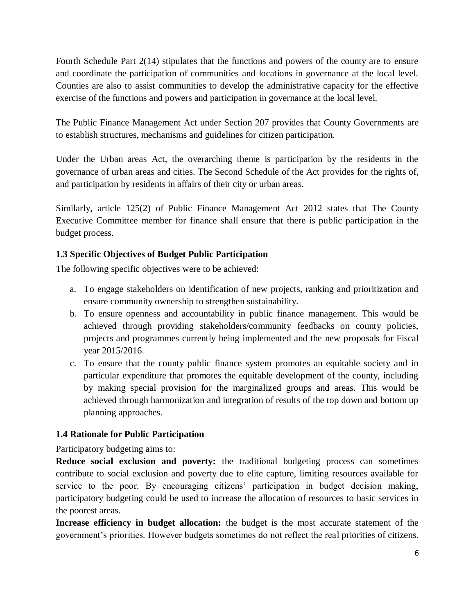Fourth Schedule Part 2(14) stipulates that the functions and powers of the county are to ensure and coordinate the participation of communities and locations in governance at the local level. Counties are also to assist communities to develop the administrative capacity for the effective exercise of the functions and powers and participation in governance at the local level.

The Public Finance Management Act under Section 207 provides that County Governments are to establish structures, mechanisms and guidelines for citizen participation.

Under the Urban areas Act, the overarching theme is participation by the residents in the governance of urban areas and cities. The Second Schedule of the Act provides for the rights of, and participation by residents in affairs of their city or urban areas.

Similarly, article 125(2) of Public Finance Management Act 2012 states that The County Executive Committee member for finance shall ensure that there is public participation in the budget process.

# <span id="page-5-0"></span>**1.3 Specific Objectives of Budget Public Participation**

The following specific objectives were to be achieved:

- a. To engage stakeholders on identification of new projects, ranking and prioritization and ensure community ownership to strengthen sustainability.
- b. To ensure openness and accountability in public finance management. This would be achieved through providing stakeholders/community feedbacks on county policies, projects and programmes currently being implemented and the new proposals for Fiscal year 2015/2016.
- c. To ensure that the county public finance system promotes an equitable society and in particular expenditure that promotes the equitable development of the county, including by making special provision for the marginalized groups and areas. This would be achieved through harmonization and integration of results of the top down and bottom up planning approaches.

# <span id="page-5-1"></span>**1.4 Rationale for Public Participation**

Participatory budgeting aims to:

**Reduce social exclusion and poverty:** the traditional budgeting process can sometimes contribute to social exclusion and poverty due to elite capture, limiting resources available for service to the poor. By encouraging citizens' participation in budget decision making, participatory budgeting could be used to increase the allocation of resources to basic services in the poorest areas.

**Increase efficiency in budget allocation:** the budget is the most accurate statement of the government"s priorities. However budgets sometimes do not reflect the real priorities of citizens.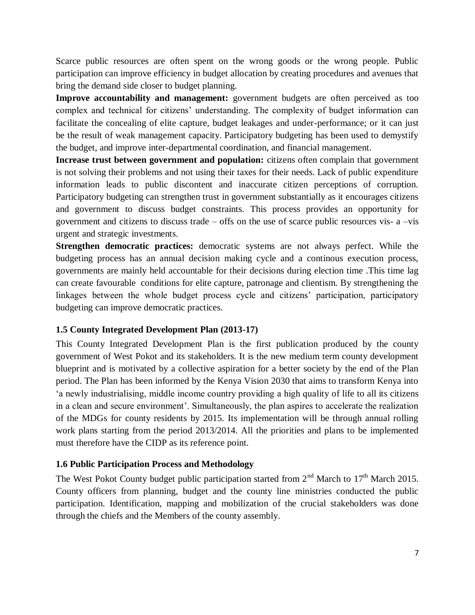Scarce public resources are often spent on the wrong goods or the wrong people. Public participation can improve efficiency in budget allocation by creating procedures and avenues that bring the demand side closer to budget planning.

**Improve accountability and management:** government budgets are often perceived as too complex and technical for citizens" understanding. The complexity of budget information can facilitate the concealing of elite capture, budget leakages and under-performance; or it can just be the result of weak management capacity. Participatory budgeting has been used to demystify the budget, and improve inter-departmental coordination, and financial management.

**Increase trust between government and population:** citizens often complain that government is not solving their problems and not using their taxes for their needs. Lack of public expenditure information leads to public discontent and inaccurate citizen perceptions of corruption. Participatory budgeting can strengthen trust in government substantially as it encourages citizens and government to discuss budget constraints. This process provides an opportunity for government and citizens to discuss trade – offs on the use of scarce public resources vis- a –vis urgent and strategic investments.

**Strengthen democratic practices:** democratic systems are not always perfect. While the budgeting process has an annual decision making cycle and a continous execution process, governments are mainly held accountable for their decisions during election time .This time lag can create favourable conditions for elite capture, patronage and clientism. By strengthening the linkages between the whole budget process cycle and citizens' participation, participatory budgeting can improve democratic practices.

# <span id="page-6-0"></span>**1.5 County Integrated Development Plan (2013-17)**

This County Integrated Development Plan is the first publication produced by the county government of West Pokot and its stakeholders. It is the new medium term county development blueprint and is motivated by a collective aspiration for a better society by the end of the Plan period. The Plan has been informed by the Kenya Vision 2030 that aims to transform Kenya into "a newly industrialising, middle income country providing a high quality of life to all its citizens in a clean and secure environment'. Simultaneously, the plan aspires to accelerate the realization of the MDGs for county residents by 2015. Its implementation will be through annual rolling work plans starting from the period 2013/2014. All the priorities and plans to be implemented must therefore have the CIDP as its reference point.

# <span id="page-6-1"></span>**1.6 Public Participation Process and Methodology**

The West Pokot County budget public participation started from  $2<sup>nd</sup>$  March to  $17<sup>th</sup>$  March 2015. County officers from planning, budget and the county line ministries conducted the public participation. Identification, mapping and mobilization of the crucial stakeholders was done through the chiefs and the Members of the county assembly.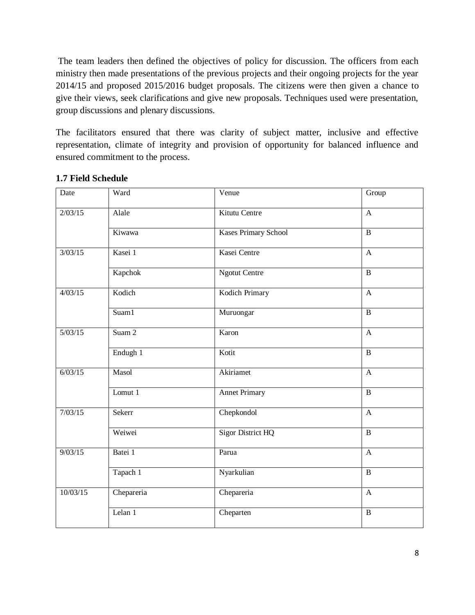The team leaders then defined the objectives of policy for discussion. The officers from each ministry then made presentations of the previous projects and their ongoing projects for the year 2014/15 and proposed 2015/2016 budget proposals. The citizens were then given a chance to give their views, seek clarifications and give new proposals. Techniques used were presentation, group discussions and plenary discussions.

The facilitators ensured that there was clarity of subject matter, inclusive and effective representation, climate of integrity and provision of opportunity for balanced influence and ensured commitment to the process.

| Date     | Ward       | Venue                       | Group          |
|----------|------------|-----------------------------|----------------|
| 2/03/15  | Alale      | Kitutu Centre               | $\mathbf{A}$   |
|          | Kiwawa     | <b>Kases Primary School</b> | $\overline{B}$ |
| 3/03/15  | Kasei 1    | Kasei Centre                | $\mathbf{A}$   |
|          | Kapchok    | <b>Ngotut Centre</b>        | $\overline{B}$ |
| 4/03/15  | Kodich     | Kodich Primary              | $\overline{A}$ |
|          | Suam1      | Muruongar                   | $\overline{B}$ |
| 5/03/15  | Suam 2     | Karon                       | $\overline{A}$ |
|          | Endugh 1   | Kotit                       | $\overline{B}$ |
| 6/03/15  | Masol      | Akiriamet                   | $\mathbf{A}$   |
|          | Lomut 1    | <b>Annet Primary</b>        | $\overline{B}$ |
| 7/03/15  | Sekerr     | Chepkondol                  | $\overline{A}$ |
|          | Weiwei     | <b>Sigor District HQ</b>    | $\overline{B}$ |
| 9/03/15  | Batei 1    | Parua                       | $\mathbf{A}$   |
|          | Tapach 1   | Nyarkulian                  | $\overline{B}$ |
| 10/03/15 | Chepareria | Chepareria                  | $\mathbf{A}$   |
|          | Lelan 1    | Cheparten                   | $\, {\bf B}$   |

## <span id="page-7-0"></span>**1.7 Field Schedule**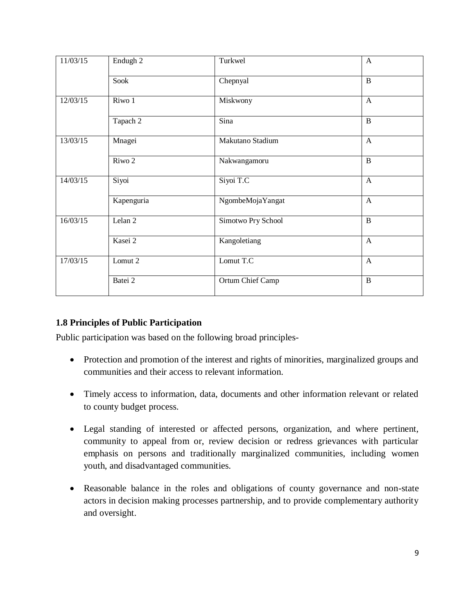| 11/03/15           | Endugh 2   | Turkwel            | $\mathbf{A}$   |
|--------------------|------------|--------------------|----------------|
|                    | Sook       | Chepnyal           | $\mathbf{B}$   |
| 12/03/15           | Riwo 1     | Miskwony           | $\mathbf{A}$   |
|                    | Tapach 2   | Sina               | $\overline{B}$ |
| 13/03/15           | Mnagei     | Makutano Stadium   | $\mathbf{A}$   |
|                    | Riwo 2     | Nakwangamoru       | B              |
| $\frac{14}{03}/15$ | Siyoi      | Siyoi T.C          | $\mathbf{A}$   |
|                    | Kapenguria | NgombeMojaYangat   | $\mathbf{A}$   |
| 16/03/15           | Lelan 2    | Simotwo Pry School | $\, {\bf B}$   |
|                    | Kasei 2    | Kangoletiang       | $\mathbf{A}$   |
| 17/03/15           | Lomut 2    | Lomut T.C          | $\mathbf{A}$   |
|                    | Batei 2    | Ortum Chief Camp   | $\, {\bf B}$   |

# <span id="page-8-0"></span>**1.8 Principles of Public Participation**

Public participation was based on the following broad principles-

- Protection and promotion of the interest and rights of minorities, marginalized groups and communities and their access to relevant information.
- Timely access to information, data, documents and other information relevant or related to county budget process.
- Legal standing of interested or affected persons, organization, and where pertinent, community to appeal from or, review decision or redress grievances with particular emphasis on persons and traditionally marginalized communities, including women youth, and disadvantaged communities.
- Reasonable balance in the roles and obligations of county governance and non-state actors in decision making processes partnership, and to provide complementary authority and oversight.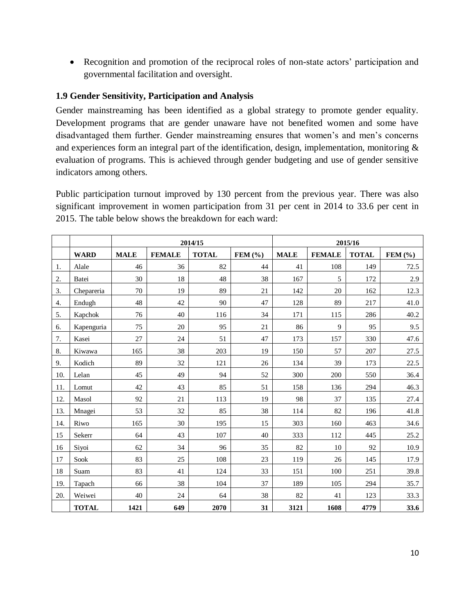• Recognition and promotion of the reciprocal roles of non-state actors' participation and governmental facilitation and oversight.

# <span id="page-9-0"></span>**1.9 Gender Sensitivity, Participation and Analysis**

Gender mainstreaming has been identified as a global strategy to promote gender equality. Development programs that are gender unaware have not benefited women and some have disadvantaged them further. Gender mainstreaming ensures that women"s and men"s concerns and experiences form an integral part of the identification, design, implementation, monitoring & evaluation of programs. This is achieved through gender budgeting and use of gender sensitive indicators among others.

Public participation turnout improved by 130 percent from the previous year. There was also significant improvement in women participation from 31 per cent in 2014 to 33.6 per cent in 2015. The table below shows the breakdown for each ward:

|     |              | 2014/15     |               |              | 2015/16     |             |               |              |             |
|-----|--------------|-------------|---------------|--------------|-------------|-------------|---------------|--------------|-------------|
|     | <b>WARD</b>  | <b>MALE</b> | <b>FEMALE</b> | <b>TOTAL</b> | FEM $(\% )$ | <b>MALE</b> | <b>FEMALE</b> | <b>TOTAL</b> | FEM $(\% )$ |
| 1.  | Alale        | 46          | 36            | 82           | 44          | 41          | 108           | 149          | 72.5        |
| 2.  | Batei        | 30          | 18            | 48           | 38          | 167         | 5             | 172          | 2.9         |
| 3.  | Chepareria   | 70          | 19            | 89           | 21          | 142         | 20            | 162          | 12.3        |
| 4.  | Endugh       | 48          | 42            | 90           | 47          | 128         | 89            | 217          | 41.0        |
| 5.  | Kapchok      | 76          | 40            | 116          | 34          | 171         | 115           | 286          | 40.2        |
| 6.  | Kapenguria   | 75          | 20            | 95           | 21          | 86          | 9             | 95           | 9.5         |
| 7.  | Kasei        | 27          | 24            | 51           | 47          | 173         | 157           | 330          | 47.6        |
| 8.  | Kiwawa       | 165         | 38            | 203          | 19          | 150         | 57            | 207          | 27.5        |
| 9.  | Kodich       | 89          | 32            | 121          | 26          | 134         | 39            | 173          | 22.5        |
| 10. | Lelan        | 45          | 49            | 94           | 52          | 300         | 200           | 550          | 36.4        |
| 11. | Lomut        | 42          | 43            | 85           | 51          | 158         | 136           | 294          | 46.3        |
| 12. | Masol        | 92          | 21            | 113          | 19          | 98          | 37            | 135          | 27.4        |
| 13. | Mnagei       | 53          | 32            | 85           | 38          | 114         | 82            | 196          | 41.8        |
| 14. | Riwo         | 165         | 30            | 195          | 15          | 303         | 160           | 463          | 34.6        |
| 15  | Sekerr       | 64          | 43            | 107          | 40          | 333         | 112           | 445          | 25.2        |
| 16  | Siyoi        | 62          | 34            | 96           | 35          | 82          | 10            | 92           | 10.9        |
| 17  | Sook         | 83          | 25            | 108          | 23          | 119         | 26            | 145          | 17.9        |
| 18  | Suam         | 83          | 41            | 124          | 33          | 151         | 100           | 251          | 39.8        |
| 19. | Tapach       | 66          | 38            | 104          | 37          | 189         | 105           | 294          | 35.7        |
| 20. | Weiwei       | 40          | 24            | 64           | 38          | 82          | 41            | 123          | 33.3        |
|     | <b>TOTAL</b> | 1421        | 649           | 2070         | 31          | 3121        | 1608          | 4779         | 33.6        |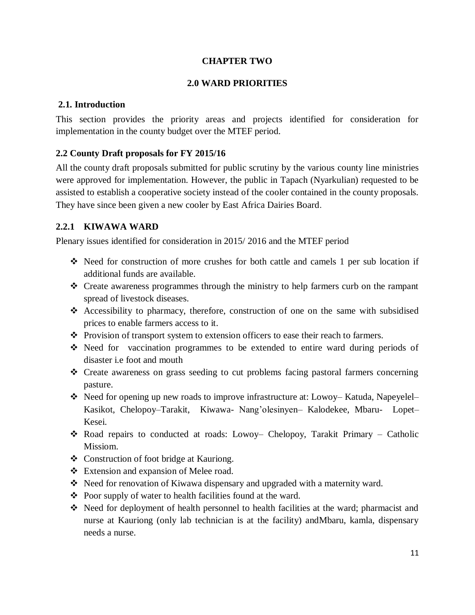#### **CHAPTER TWO**

## **2.0 WARD PRIORITIES**

## <span id="page-10-2"></span><span id="page-10-1"></span><span id="page-10-0"></span>**2.1. Introduction**

This section provides the priority areas and projects identified for consideration for implementation in the county budget over the MTEF period.

## <span id="page-10-3"></span>**2.2 County Draft proposals for FY 2015/16**

All the county draft proposals submitted for public scrutiny by the various county line ministries were approved for implementation. However, the public in Tapach (Nyarkulian) requested to be assisted to establish a cooperative society instead of the cooler contained in the county proposals. They have since been given a new cooler by East Africa Dairies Board.

# <span id="page-10-4"></span>**2.2.1 KIWAWA WARD**

- $\div$  Need for construction of more crushes for both cattle and camels 1 per sub location if additional funds are available.
- Create awareness programmes through the ministry to help farmers curb on the rampant spread of livestock diseases.
- Accessibility to pharmacy, therefore, construction of one on the same with subsidised prices to enable farmers access to it.
- $\div$  Provision of transport system to extension officers to ease their reach to farmers.
- Need for vaccination programmes to be extended to entire ward during periods of disaster i.e foot and mouth
- Create awareness on grass seeding to cut problems facing pastoral farmers concerning pasture.
- Need for opening up new roads to improve infrastructure at: Lowoy– Katuda, Napeyelel– Kasikot, Chelopoy–Tarakit, Kiwawa- Nang"olesinyen– Kalodekee, Mbaru- Lopet– Kesei.
- \* Road repairs to conducted at roads: Lowoy– Chelopoy, Tarakit Primary Catholic Missiom.
- Construction of foot bridge at Kauriong.
- Extension and expansion of Melee road.
- Need for renovation of Kiwawa dispensary and upgraded with a maternity ward.
- $\triangle$  Poor supply of water to health facilities found at the ward.
- Need for deployment of health personnel to health facilities at the ward; pharmacist and nurse at Kauriong (only lab technician is at the facility) andMbaru, kamla, dispensary needs a nurse.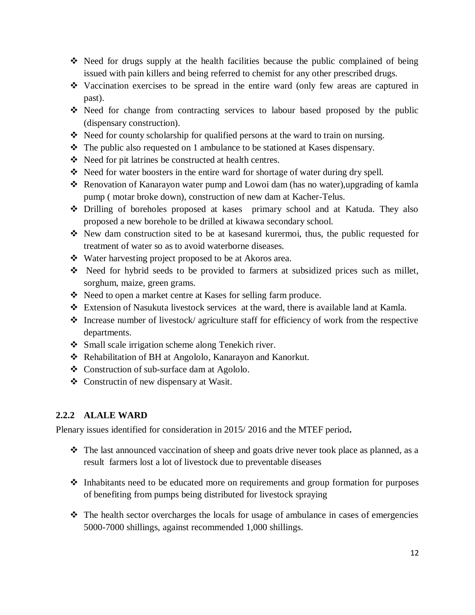- $\div$  Need for drugs supply at the health facilities because the public complained of being issued with pain killers and being referred to chemist for any other prescribed drugs.
- Vaccination exercises to be spread in the entire ward (only few areas are captured in past).
- Need for change from contracting services to labour based proposed by the public (dispensary construction).
- Need for county scholarship for qualified persons at the ward to train on nursing.
- The public also requested on 1 ambulance to be stationed at Kases dispensary.
- Need for pit latrines be constructed at health centres.
- Need for water boosters in the entire ward for shortage of water during dry spell.
- Renovation of Kanarayon water pump and Lowoi dam (has no water),upgrading of kamla pump ( motar broke down), construction of new dam at Kacher-Telus.
- Drilling of boreholes proposed at kases primary school and at Katuda. They also proposed a new borehole to be drilled at kiwawa secondary school.
- New dam construction sited to be at kasesand kurermoi, thus, the public requested for treatment of water so as to avoid waterborne diseases.
- Water harvesting project proposed to be at Akoros area.
- Need for hybrid seeds to be provided to farmers at subsidized prices such as millet, sorghum, maize, green grams.
- Need to open a market centre at Kases for selling farm produce.
- Extension of Nasukuta livestock services at the ward, there is available land at Kamla.
- $\triangle$  Increase number of livestock/ agriculture staff for efficiency of work from the respective departments.
- Small scale irrigation scheme along Tenekich river.
- Rehabilitation of BH at Angololo, Kanarayon and Kanorkut.
- Construction of sub-surface dam at Agololo.
- Constructin of new dispensary at Wasit.

# <span id="page-11-0"></span>**2.2.2 ALALE WARD**

- $\hat{\cdot}$  The last announced vaccination of sheep and goats drive never took place as planned, as a result farmers lost a lot of livestock due to preventable diseases
- $\triangle$  Inhabitants need to be educated more on requirements and group formation for purposes of benefiting from pumps being distributed for livestock spraying
- The health sector overcharges the locals for usage of ambulance in cases of emergencies 5000-7000 shillings, against recommended 1,000 shillings.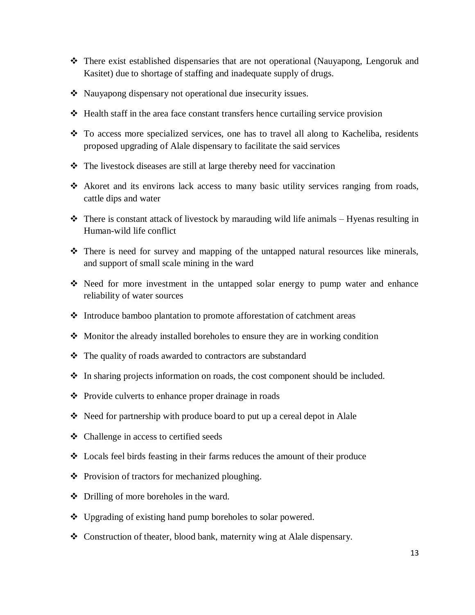- There exist established dispensaries that are not operational (Nauyapong, Lengoruk and Kasitet) due to shortage of staffing and inadequate supply of drugs.
- Nauyapong dispensary not operational due insecurity issues.
- $\triangleleft$  Health staff in the area face constant transfers hence curtailing service provision
- $\div$  To access more specialized services, one has to travel all along to Kacheliba, residents proposed upgrading of Alale dispensary to facilitate the said services
- $\cdot \cdot$  The livestock diseases are still at large thereby need for vaccination
- Akoret and its environs lack access to many basic utility services ranging from roads, cattle dips and water
- $\cdot \cdot$  There is constant attack of livestock by marauding wild life animals Hyenas resulting in Human-wild life conflict
- There is need for survey and mapping of the untapped natural resources like minerals, and support of small scale mining in the ward
- $\cdot$  Need for more investment in the untapped solar energy to pump water and enhance reliability of water sources
- Introduce bamboo plantation to promote afforestation of catchment areas
- Monitor the already installed boreholes to ensure they are in working condition
- The quality of roads awarded to contractors are substandard
- $\triangle$  In sharing projects information on roads, the cost component should be included.
- ❖ Provide culverts to enhance proper drainage in roads
- Need for partnership with produce board to put up a cereal depot in Alale
- Challenge in access to certified seeds
- Locals feel birds feasting in their farms reduces the amount of their produce
- ❖ Provision of tractors for mechanized ploughing.
- ❖ Drilling of more boreholes in the ward.
- ❖ Upgrading of existing hand pump boreholes to solar powered.
- Construction of theater, blood bank, maternity wing at Alale dispensary.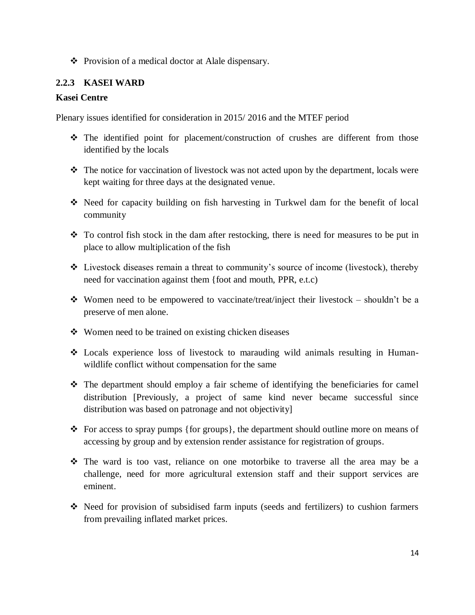Provision of a medical doctor at Alale dispensary.

# <span id="page-13-0"></span>**2.2.3 KASEI WARD**

## **Kasei Centre**

- $\hat{\mathbf{v}}$  The identified point for placement/construction of crushes are different from those identified by the locals
- \* The notice for vaccination of livestock was not acted upon by the department, locals were kept waiting for three days at the designated venue.
- Need for capacity building on fish harvesting in Turkwel dam for the benefit of local community
- $\cdot \cdot$  To control fish stock in the dam after restocking, there is need for measures to be put in place to allow multiplication of the fish
- $\triangleleft$  Livestock diseases remain a threat to community's source of income (livestock), thereby need for vaccination against them {foot and mouth, PPR, e.t.c)
- Women need to be empowered to vaccinate/treat/inject their livestock shouldn't be a preserve of men alone.
- Women need to be trained on existing chicken diseases
- Locals experience loss of livestock to marauding wild animals resulting in Humanwildlife conflict without compensation for the same
- $\hat{\cdot}$  The department should employ a fair scheme of identifying the beneficiaries for camel distribution [Previously, a project of same kind never became successful since distribution was based on patronage and not objectivity]
- $\triangleleft$  For access to spray pumps {for groups}, the department should outline more on means of accessing by group and by extension render assistance for registration of groups.
- The ward is too vast, reliance on one motorbike to traverse all the area may be a challenge, need for more agricultural extension staff and their support services are eminent.
- Need for provision of subsidised farm inputs (seeds and fertilizers) to cushion farmers from prevailing inflated market prices.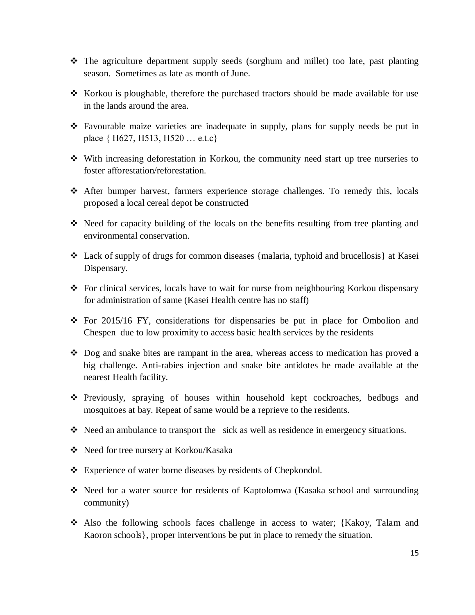- $\div$  The agriculture department supply seeds (sorghum and millet) too late, past planting season. Sometimes as late as month of June.
- $\div$  Korkou is ploughable, therefore the purchased tractors should be made available for use in the lands around the area.
- Favourable maize varieties are inadequate in supply, plans for supply needs be put in place { H627, H513, H520 … e.t.c}
- With increasing deforestation in Korkou, the community need start up tree nurseries to foster afforestation/reforestation.
- After bumper harvest, farmers experience storage challenges. To remedy this, locals proposed a local cereal depot be constructed
- $\div$  Need for capacity building of the locals on the benefits resulting from tree planting and environmental conservation.
- Lack of supply of drugs for common diseases {malaria, typhoid and brucellosis} at Kasei Dispensary.
- For clinical services, locals have to wait for nurse from neighbouring Korkou dispensary for administration of same (Kasei Health centre has no staff)
- $\div$  For 2015/16 FY, considerations for dispensaries be put in place for Ombolion and Chespen due to low proximity to access basic health services by the residents
- $\bullet$  Dog and snake bites are rampant in the area, whereas access to medication has proved a big challenge. Anti-rabies injection and snake bite antidotes be made available at the nearest Health facility.
- Previously, spraying of houses within household kept cockroaches, bedbugs and mosquitoes at bay. Repeat of same would be a reprieve to the residents.
- Need an ambulance to transport the sick as well as residence in emergency situations.
- Need for tree nursery at Korkou/Kasaka
- Experience of water borne diseases by residents of Chepkondol.
- Need for a water source for residents of Kaptolomwa (Kasaka school and surrounding community)
- Also the following schools faces challenge in access to water; {Kakoy, Talam and Kaoron schools}, proper interventions be put in place to remedy the situation.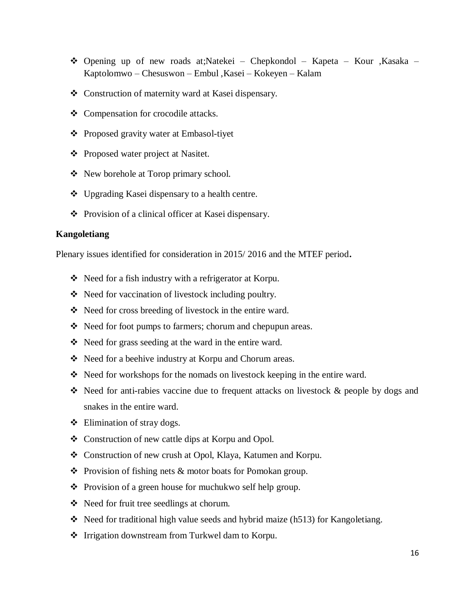- Opening up of new roads at;Natekei Chepkondol Kapeta Kour ,Kasaka Kaptolomwo – Chesuswon – Embul ,Kasei – Kokeyen – Kalam
- Construction of maternity ward at Kasei dispensary.
- Compensation for crocodile attacks.
- ❖ Proposed gravity water at Embasol-tiyet
- ❖ Proposed water project at Nasitet.
- New borehole at Torop primary school.
- Upgrading Kasei dispensary to a health centre.
- Provision of a clinical officer at Kasei dispensary.

#### **Kangoletiang**

- Need for a fish industry with a refrigerator at Korpu.
- Need for vaccination of livestock including poultry.
- Need for cross breeding of livestock in the entire ward.
- Need for foot pumps to farmers; chorum and chepupun areas.
- Need for grass seeding at the ward in the entire ward.
- ◆ Need for a beehive industry at Korpu and Chorum areas.
- $\div$  Need for workshops for the nomads on livestock keeping in the entire ward.
- $\triangle$  Need for anti-rabies vaccine due to frequent attacks on livestock & people by dogs and snakes in the entire ward.
- $\triangleleft$  Elimination of stray dogs.
- Construction of new cattle dips at Korpu and Opol.
- Construction of new crush at Opol, Klaya, Katumen and Korpu.
- $\triangle$  Provision of fishing nets & motor boats for Pomokan group.
- Provision of a green house for muchukwo self help group.
- ❖ Need for fruit tree seedlings at chorum.
- $\cdot$  Need for traditional high value seeds and hybrid maize (h513) for Kangoletiang.
- ❖ Irrigation downstream from Turkwel dam to Korpu.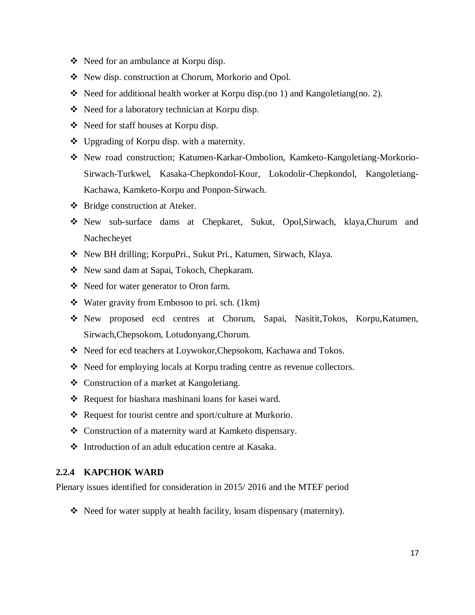- $\div$  Need for an ambulance at Korpu disp.
- New disp. construction at Chorum, Morkorio and Opol.
- Need for additional health worker at Korpu disp.(no 1) and Kangoletiang(no. 2).
- Need for a laboratory technician at Korpu disp.
- Need for staff houses at Korpu disp.
- ❖ Upgrading of Korpu disp. with a maternity.
- New road construction; Katumen-Karkar-Ombolion, Kamketo-Kangoletiang-Morkorio-Sirwach-Turkwel, Kasaka-Chepkondol-Kour, Lokodolir-Chepkondol, Kangoletiang-Kachawa, Kamketo-Korpu and Ponpon-Sirwach.
- Bridge construction at Ateker.
- New sub-surface dams at Chepkaret, Sukut, Opol,Sirwach, klaya,Churum and Nachecheyet
- New BH drilling; KorpuPri., Sukut Pri., Katumen, Sirwach, Klaya.
- \* New sand dam at Sapai, Tokoch, Chepkaram.
- Need for water generator to Oron farm.
- Water gravity from Embosoo to pri. sch. (1km)
- New proposed ecd centres at Chorum, Sapai, Nasitit,Tokos, Korpu,Katumen, Sirwach,Chepsokom, Lotudonyang,Chorum.
- \* Need for ecd teachers at Loywokor, Chepsokom, Kachawa and Tokos.
- Need for employing locals at Korpu trading centre as revenue collectors.
- Construction of a market at Kangoletiang.
- ◆ Request for biashara mashinani loans for kasei ward.
- Request for tourist centre and sport/culture at Murkorio.
- Construction of a maternity ward at Kamketo dispensary.
- <span id="page-16-0"></span>Introduction of an adult education centre at Kasaka.

#### **2.2.4 KAPCHOK WARD**

Plenary issues identified for consideration in 2015/ 2016 and the MTEF period

• Need for water supply at health facility, losam dispensary (maternity).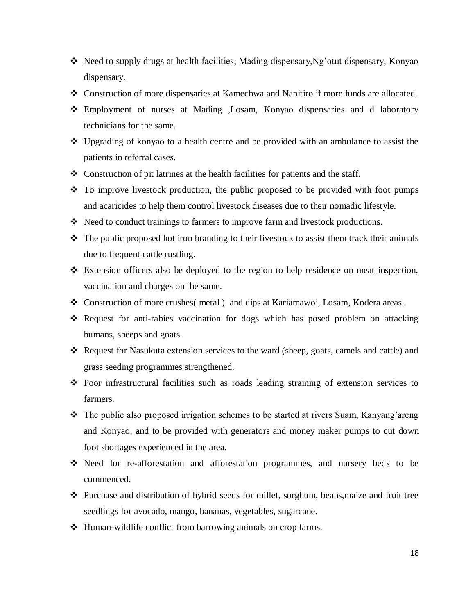- Need to supply drugs at health facilities; Mading dispensary, Ng'otut dispensary, Konyao dispensary.
- Construction of more dispensaries at Kamechwa and Napitiro if more funds are allocated.
- Employment of nurses at Mading ,Losam, Konyao dispensaries and d laboratory technicians for the same.
- $\div$  Upgrading of konyao to a health centre and be provided with an ambulance to assist the patients in referral cases.
- $\triangle$  Construction of pit latrines at the health facilities for patients and the staff.
- $\cdot$  To improve livestock production, the public proposed to be provided with foot pumps and acaricides to help them control livestock diseases due to their nomadic lifestyle.
- Need to conduct trainings to farmers to improve farm and livestock productions.
- $\hat{\cdot}$  The public proposed hot iron branding to their livestock to assist them track their animals due to frequent cattle rustling.
- Extension officers also be deployed to the region to help residence on meat inspection, vaccination and charges on the same.
- Construction of more crushes( metal ) and dips at Kariamawoi, Losam, Kodera areas.
- Request for anti-rabies vaccination for dogs which has posed problem on attacking humans, sheeps and goats.
- Request for Nasukuta extension services to the ward (sheep, goats, camels and cattle) and grass seeding programmes strengthened.
- $\div$  Poor infrastructural facilities such as roads leading straining of extension services to farmers.
- $\div$  The public also proposed irrigation schemes to be started at rivers Suam, Kanyang'areng and Konyao, and to be provided with generators and money maker pumps to cut down foot shortages experienced in the area.
- Need for re-afforestation and afforestation programmes, and nursery beds to be commenced.
- Purchase and distribution of hybrid seeds for millet, sorghum, beans,maize and fruit tree seedlings for avocado, mango, bananas, vegetables, sugarcane.
- ◆ Human-wildlife conflict from barrowing animals on crop farms.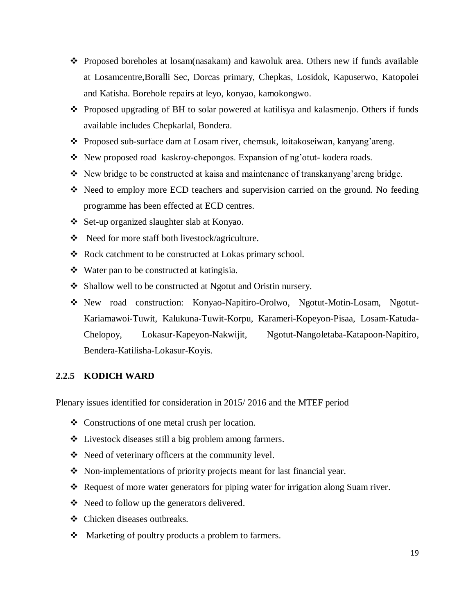- $\div$  Proposed boreholes at losam(nasakam) and kawoluk area. Others new if funds available at Losamcentre,Boralli Sec, Dorcas primary, Chepkas, Losidok, Kapuserwo, Katopolei and Katisha. Borehole repairs at leyo, konyao, kamokongwo.
- Proposed upgrading of BH to solar powered at katilisya and kalasmenjo. Others if funds available includes Chepkarlal, Bondera.
- \* Proposed sub-surface dam at Losam river, chemsuk, loitakoseiwan, kanyang'areng.
- New proposed road kaskroy-chepongos. Expansion of ng'otut-kodera roads.
- New bridge to be constructed at kaisa and maintenance of transkanyang"areng bridge.
- Need to employ more ECD teachers and supervision carried on the ground. No feeding programme has been effected at ECD centres.
- Set-up organized slaughter slab at Konyao.
- Need for more staff both livestock/agriculture.
- ❖ Rock catchment to be constructed at Lokas primary school.
- Water pan to be constructed at katingisia.
- Shallow well to be constructed at Ngotut and Oristin nursery.
- New road construction: Konyao-Napitiro-Orolwo, Ngotut-Motin-Losam, Ngotut-Kariamawoi-Tuwit, Kalukuna-Tuwit-Korpu, Karameri-Kopeyon-Pisaa, Losam-Katuda-Chelopoy, Lokasur-Kapeyon-Nakwijit, Ngotut-Nangoletaba-Katapoon-Napitiro, Bendera-Katilisha-Lokasur-Koyis.

#### <span id="page-18-0"></span>**2.2.5 KODICH WARD**

- Constructions of one metal crush per location.
- Livestock diseases still a big problem among farmers.
- \* Need of veterinary officers at the community level.
- Non-implementations of priority projects meant for last financial year.
- \* Request of more water generators for piping water for irrigation along Suam river.
- $\triangleleft$  Need to follow up the generators delivered.
- Chicken diseases outbreaks.
- Marketing of poultry products a problem to farmers.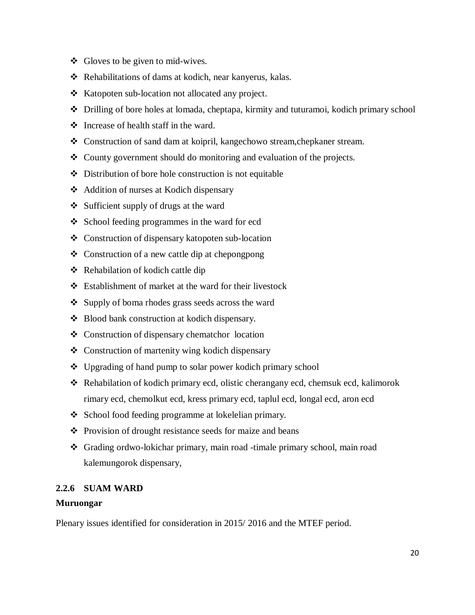- $\triangleleft$  Gloves to be given to mid-wives.
- Rehabilitations of dams at kodich, near kanyerus, kalas.
- $\triangle$  Katopoten sub-location not allocated any project.
- Drilling of bore holes at lomada, cheptapa, kirmity and tuturamoi, kodich primary school
- $\div$  Increase of health staff in the ward.
- Construction of sand dam at koipril, kangechowo stream,chepkaner stream.
- County government should do monitoring and evaluation of the projects.
- $\triangle$  Distribution of bore hole construction is not equitable
- Addition of nurses at Kodich dispensary
- $\div$  Sufficient supply of drugs at the ward
- ❖ School feeding programmes in the ward for ecd
- Construction of dispensary katopoten sub-location
- $\triangleleft$  Construction of a new cattle dip at chepongpong
- $\triangle$  Rehabilation of kodich cattle dip
- Establishment of market at the ward for their livestock
- ❖ Supply of boma rhodes grass seeds across the ward
- Blood bank construction at kodich dispensary.
- Construction of dispensary chematchor location
- Construction of martenity wing kodich dispensary
- Upgrading of hand pump to solar power kodich primary school
- Rehabilation of kodich primary ecd, olistic cherangany ecd, chemsuk ecd, kalimorok rimary ecd, chemolkut ecd, kress primary ecd, taplul ecd, longal ecd, aron ecd
- School food feeding programme at lokelelian primary.
- ❖ Provision of drought resistance seeds for maize and beans
- Grading ordwo-lokichar primary, main road -timale primary school, main road kalemungorok dispensary,

# <span id="page-19-0"></span>**2.2.6 SUAM WARD**

# **Muruongar**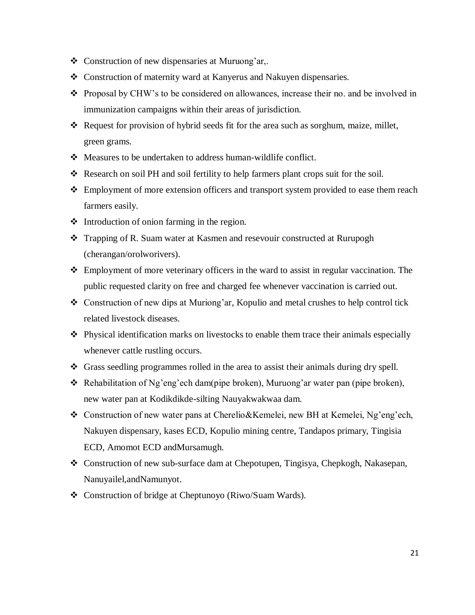- $\triangle$  Construction of new dispensaries at Muruong'ar,.
- Construction of maternity ward at Kanyerus and Nakuyen dispensaries.
- Proposal by CHW"s to be considered on allowances, increase their no. and be involved in immunization campaigns within their areas of jurisdiction.
- Request for provision of hybrid seeds fit for the area such as sorghum, maize, millet, green grams.
- Measures to be undertaken to address human-wildlife conflict.
- Research on soil PH and soil fertility to help farmers plant crops suit for the soil.
- Employment of more extension officers and transport system provided to ease them reach farmers easily.
- $\triangleleft$  Introduction of onion farming in the region.
- Trapping of R. Suam water at Kasmen and resevouir constructed at Rurupogh (cherangan/orolworivers).
- Employment of more veterinary officers in the ward to assist in regular vaccination. The public requested clarity on free and charged fee whenever vaccination is carried out.
- $\triangleleft$  Construction of new dips at Muriong'ar, Kopulio and metal crushes to help control tick related livestock diseases.
- Physical identification marks on livestocks to enable them trace their animals especially whenever cattle rustling occurs.
- Grass seedling programmes rolled in the area to assist their animals during dry spell.
- $\triangle$  Rehabilitation of Ng'eng'ech dam(pipe broken), Muruong'ar water pan (pipe broken), new water pan at Kodikdikde-silting Nauyakwakwaa dam.
- Construction of new water pans at Cherelio&Kemelei, new BH at Kemelei, Ng"eng"ech, Nakuyen dispensary, kases ECD, Kopulio mining centre, Tandapos primary, Tingisia ECD, Amomot ECD andMursamugh.
- Construction of new sub-surface dam at Chepotupen, Tingisya, Chepkogh, Nakasepan, Nanuyailel,andNamunyot.
- Construction of bridge at Cheptunoyo (Riwo/Suam Wards).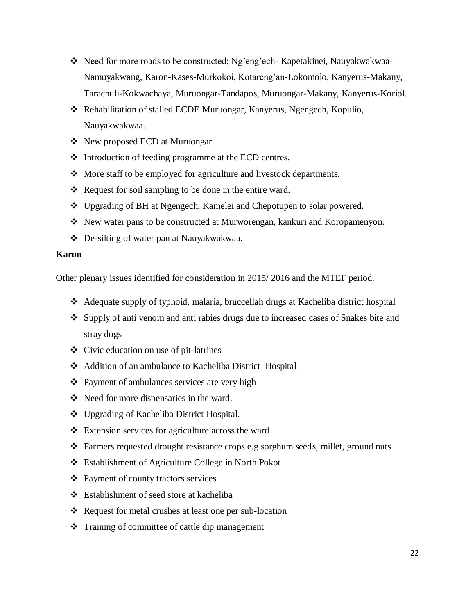- \* Need for more roads to be constructed; Ng'eng'ech- Kapetakinei, Nauyakwakwaa-Namuyakwang, Karon-Kases-Murkokoi, Kotareng"an-Lokomolo, Kanyerus-Makany, Tarachuli-Kokwachaya, Muruongar-Tandapos, Muruongar-Makany, Kanyerus-Koriol.
- Rehabilitation of stalled ECDE Muruongar, Kanyerus, Ngengech, Kopulio, Nauyakwakwaa.
- New proposed ECD at Muruongar.
- Introduction of feeding programme at the ECD centres.
- More staff to be employed for agriculture and livestock departments.
- $\triangle$  Request for soil sampling to be done in the entire ward.
- Upgrading of BH at Ngengech, Kamelei and Chepotupen to solar powered.
- New water pans to be constructed at Murworengan, kankuri and Koropamenyon.
- De-silting of water pan at Nauyakwakwaa.

#### **Karon**

- Adequate supply of typhoid, malaria, bruccellah drugs at Kacheliba district hospital
- Supply of anti venom and anti rabies drugs due to increased cases of Snakes bite and stray dogs
- Civic education on use of pit-latrines
- Addition of an ambulance to Kacheliba District Hospital
- ❖ Payment of ambulances services are very high
- $\triangleleft$  Need for more dispensaries in the ward.
- ❖ Upgrading of Kacheliba District Hospital.
- Extension services for agriculture across the ward
- $\triangle$  Farmers requested drought resistance crops e.g sorghum seeds, millet, ground nuts
- Establishment of Agriculture College in North Pokot
- $\triangle$  Payment of county tractors services
- Establishment of seed store at kacheliba
- Request for metal crushes at least one per sub-location
- **❖** Training of committee of cattle dip management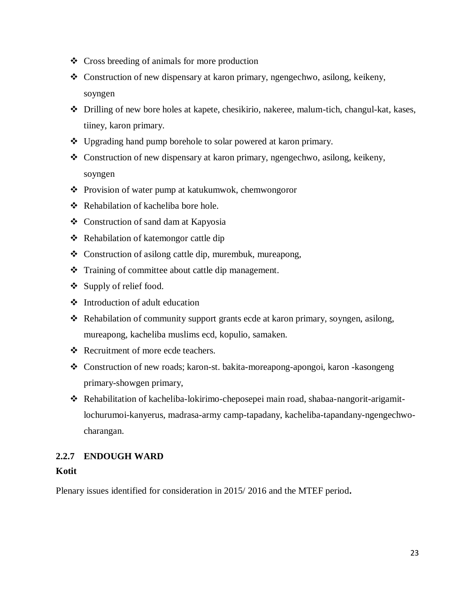- Cross breeding of animals for more production
- Construction of new dispensary at karon primary, ngengechwo, asilong, keikeny, soyngen
- Drilling of new bore holes at kapete, chesikirio, nakeree, malum-tich, changul-kat, kases, tiiney, karon primary.
- Upgrading hand pump borehole to solar powered at karon primary.
- Construction of new dispensary at karon primary, ngengechwo, asilong, keikeny, soyngen
- Provision of water pump at katukumwok, chemwongoror
- ❖ Rehabilation of kacheliba bore hole.
- Construction of sand dam at Kapyosia
- Rehabilation of katemongor cattle dip
- Construction of asilong cattle dip, murembuk, mureapong,
- Training of committee about cattle dip management.
- $\div$  Supply of relief food.
- Introduction of adult education
- Rehabilation of community support grants ecde at karon primary, soyngen, asilong, mureapong, kacheliba muslims ecd, kopulio, samaken.
- Recruitment of more ecde teachers.
- Construction of new roads; karon-st. bakita-moreapong-apongoi, karon -kasongeng primary-showgen primary,
- Rehabilitation of kacheliba-lokirimo-cheposepei main road, shabaa-nangorit-arigamitlochurumoi-kanyerus, madrasa-army camp-tapadany, kacheliba-tapandany-ngengechwocharangan.

# <span id="page-22-0"></span>**2.2.7 ENDOUGH WARD**

#### **Kotit**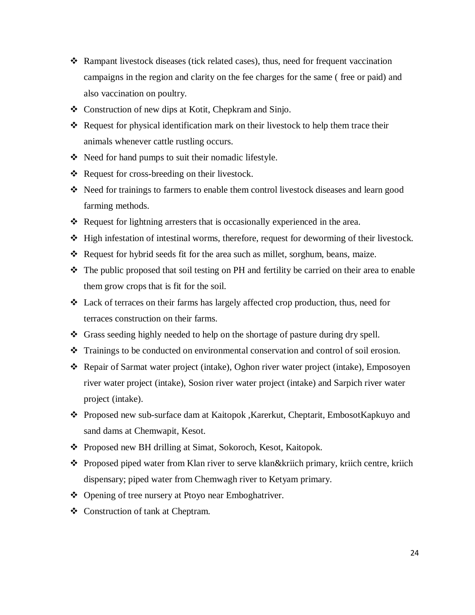- $\triangle$  Rampant livestock diseases (tick related cases), thus, need for frequent vaccination campaigns in the region and clarity on the fee charges for the same ( free or paid) and also vaccination on poultry.
- Construction of new dips at Kotit, Chepkram and Sinjo.
- $\triangle$  Request for physical identification mark on their livestock to help them trace their animals whenever cattle rustling occurs.
- \* Need for hand pumps to suit their nomadic lifestyle.
- Request for cross-breeding on their livestock.
- Need for trainings to farmers to enable them control livestock diseases and learn good farming methods.
- Request for lightning arresters that is occasionally experienced in the area.
- High infestation of intestinal worms, therefore, request for deworming of their livestock.
- Request for hybrid seeds fit for the area such as millet, sorghum, beans, maize.
- The public proposed that soil testing on PH and fertility be carried on their area to enable them grow crops that is fit for the soil.
- Lack of terraces on their farms has largely affected crop production, thus, need for terraces construction on their farms.
- Grass seeding highly needed to help on the shortage of pasture during dry spell.
- Trainings to be conducted on environmental conservation and control of soil erosion.
- Repair of Sarmat water project (intake), Oghon river water project (intake), Emposoyen river water project (intake), Sosion river water project (intake) and Sarpich river water project (intake).
- Proposed new sub-surface dam at Kaitopok ,Karerkut, Cheptarit, EmbosotKapkuyo and sand dams at Chemwapit, Kesot.
- ◆ Proposed new BH drilling at Simat, Sokoroch, Kesot, Kaitopok.
- Proposed piped water from Klan river to serve klan&kriich primary, kriich centre, kriich dispensary; piped water from Chemwagh river to Ketyam primary.
- Opening of tree nursery at Ptoyo near Emboghatriver.
- Construction of tank at Cheptram.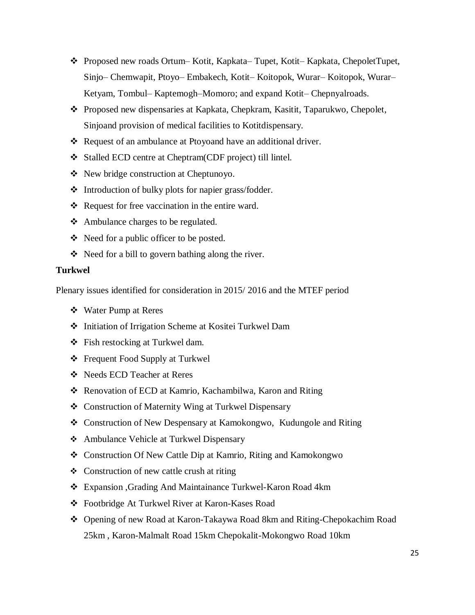- Proposed new roads Ortum– Kotit, Kapkata– Tupet, Kotit– Kapkata, ChepoletTupet, Sinjo– Chemwapit, Ptoyo– Embakech, Kotit– Koitopok, Wurar– Koitopok, Wurar– Ketyam, Tombul– Kaptemogh–Momoro; and expand Kotit– Chepnyalroads.
- Proposed new dispensaries at Kapkata, Chepkram, Kasitit, Taparukwo, Chepolet, Sinjoand provision of medical facilities to Kotitdispensary.
- Request of an ambulance at Ptoyoand have an additional driver.
- Stalled ECD centre at Cheptram(CDF project) till lintel.
- New bridge construction at Cheptunoyo.
- Introduction of bulky plots for napier grass/fodder.
- $\triangle$  Request for free vaccination in the entire ward.
- Ambulance charges to be regulated.
- Need for a public officer to be posted.
- $\triangle$  Need for a bill to govern bathing along the river.

#### **Turkwel**

- Water Pump at Reres
- Initiation of Irrigation Scheme at Kositei Turkwel Dam
- Fish restocking at Turkwel dam.
- Frequent Food Supply at Turkwel
- Needs ECD Teacher at Reres
- Renovation of ECD at Kamrio, Kachambilwa, Karon and Riting
- Construction of Maternity Wing at Turkwel Dispensary
- Construction of New Despensary at Kamokongwo, Kudungole and Riting
- Ambulance Vehicle at Turkwel Dispensary
- Construction Of New Cattle Dip at Kamrio, Riting and Kamokongwo
- ❖ Construction of new cattle crush at riting
- Expansion ,Grading And Maintainance Turkwel-Karon Road 4km
- Footbridge At Turkwel River at Karon-Kases Road
- Opening of new Road at Karon-Takaywa Road 8km and Riting-Chepokachim Road 25km , Karon-Malmalt Road 15km Chepokalit-Mokongwo Road 10km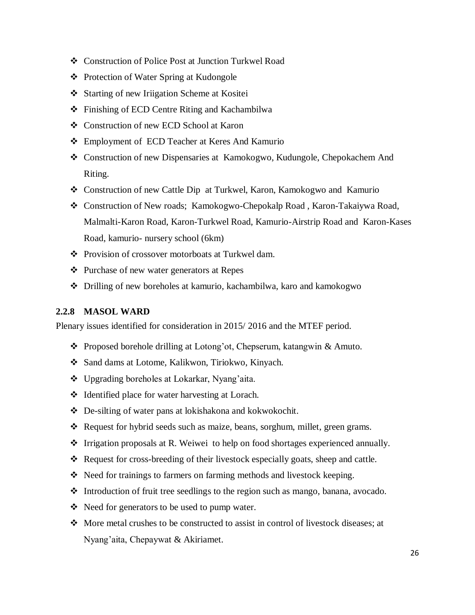- Construction of Police Post at Junction Turkwel Road
- ❖ Protection of Water Spring at Kudongole
- Starting of new Iriigation Scheme at Kositei
- Finishing of ECD Centre Riting and Kachambilwa
- Construction of new ECD School at Karon
- Employment of ECD Teacher at Keres And Kamurio
- Construction of new Dispensaries at Kamokogwo, Kudungole, Chepokachem And Riting.
- Construction of new Cattle Dip at Turkwel, Karon, Kamokogwo and Kamurio
- Construction of New roads; Kamokogwo-Chepokalp Road , Karon-Takaiywa Road, Malmalti-Karon Road, Karon-Turkwel Road, Kamurio-Airstrip Road and Karon-Kases Road, kamurio- nursery school (6km)
- Provision of crossover motorboats at Turkwel dam.
- Purchase of new water generators at Repes
- <span id="page-25-0"></span>Drilling of new boreholes at kamurio, kachambilwa, karo and kamokogwo

#### **2.2.8 MASOL WARD**

- ◆ Proposed borehole drilling at Lotong'ot, Chepserum, katangwin & Amuto.
- Sand dams at Lotome, Kalikwon, Tiriokwo, Kinyach.
- Upgrading boreholes at Lokarkar, Nyang"aita.
- ❖ Identified place for water harvesting at Lorach.
- De-silting of water pans at lokishakona and kokwokochit.
- Request for hybrid seeds such as maize, beans, sorghum, millet, green grams.
- Irrigation proposals at R. Weiwei to help on food shortages experienced annually.
- $\triangle$  Request for cross-breeding of their livestock especially goats, sheep and cattle.
- Need for trainings to farmers on farming methods and livestock keeping.
- $\div$  Introduction of fruit tree seedlings to the region such as mango, banana, avocado.
- Need for generators to be used to pump water.
- $\bullet$  More metal crushes to be constructed to assist in control of livestock diseases; at Nyang"aita, Chepaywat & Akiriamet.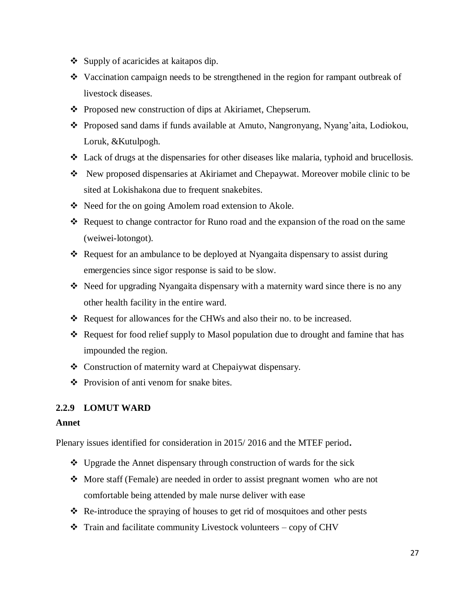- $\div$  Supply of acaricides at kaitapos dip.
- Vaccination campaign needs to be strengthened in the region for rampant outbreak of livestock diseases.
- ❖ Proposed new construction of dips at Akiriamet, Chepserum.
- Proposed sand dams if funds available at Amuto, Nangronyang, Nyang"aita, Lodiokou, Loruk, &Kutulpogh.
- Lack of drugs at the dispensaries for other diseases like malaria, typhoid and brucellosis.
- New proposed dispensaries at Akiriamet and Chepaywat. Moreover mobile clinic to be sited at Lokishakona due to frequent snakebites.
- ❖ Need for the on going Amolem road extension to Akole.
- Request to change contractor for Runo road and the expansion of the road on the same (weiwei-lotongot).
- Request for an ambulance to be deployed at Nyangaita dispensary to assist during emergencies since sigor response is said to be slow.
- $\triangle$  Need for upgrading Nyangaita dispensary with a maternity ward since there is no any other health facility in the entire ward.
- Request for allowances for the CHWs and also their no. to be increased.
- Request for food relief supply to Masol population due to drought and famine that has impounded the region.
- Construction of maternity ward at Chepaiywat dispensary.
- ❖ Provision of anti venom for snake bites.

#### <span id="page-26-0"></span>**2.2.9 LOMUT WARD**

#### **Annet**

- Upgrade the Annet dispensary through construction of wards for the sick
- More staff (Female) are needed in order to assist pregnant women who are not comfortable being attended by male nurse deliver with ease
- Re-introduce the spraying of houses to get rid of mosquitoes and other pests
- $\triangleleft$  Train and facilitate community Livestock volunteers copy of CHV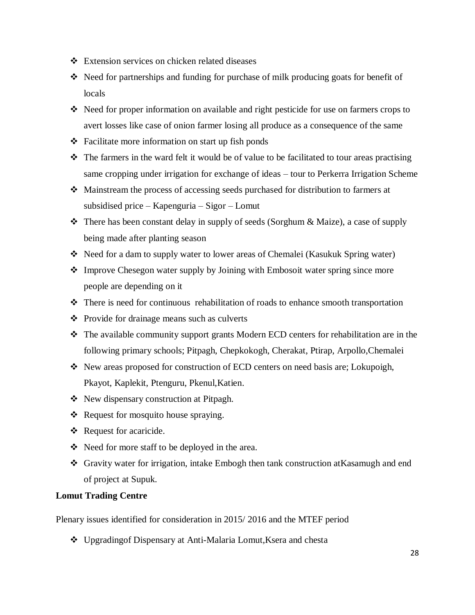- Extension services on chicken related diseases
- $\triangle$  Need for partnerships and funding for purchase of milk producing goats for benefit of locals
- $\triangleleft$  Need for proper information on available and right pesticide for use on farmers crops to avert losses like case of onion farmer losing all produce as a consequence of the same
- $\triangle$  Facilitate more information on start up fish ponds
- \* The farmers in the ward felt it would be of value to be facilitated to tour areas practising same cropping under irrigation for exchange of ideas – tour to Perkerra Irrigation Scheme
- Mainstream the process of accessing seeds purchased for distribution to farmers at subsidised price – Kapenguria – Sigor – Lomut
- $\triangle$  There has been constant delay in supply of seeds (Sorghum & Maize), a case of supply being made after planting season
- Need for a dam to supply water to lower areas of Chemalei (Kasukuk Spring water)
- Improve Chesegon water supply by Joining with Embosoit water spring since more people are depending on it
- There is need for continuous rehabilitation of roads to enhance smooth transportation
- Provide for drainage means such as culverts
- $\hat{\mathbf{v}}$  The available community support grants Modern ECD centers for rehabilitation are in the following primary schools; Pitpagh, Chepkokogh, Cherakat, Ptirap, Arpollo,Chemalei
- New areas proposed for construction of ECD centers on need basis are; Lokupoigh, Pkayot, Kaplekit, Ptenguru, Pkenul,Katien.
- ❖ New dispensary construction at Pitpagh.
- $\triangleleft$  Request for mosquito house spraying.
- \* Request for acaricide.
- Need for more staff to be deployed in the area.
- Gravity water for irrigation, intake Embogh then tank construction atKasamugh and end of project at Supuk.

#### **Lomut Trading Centre**

Plenary issues identified for consideration in 2015/ 2016 and the MTEF period

Upgradingof Dispensary at Anti-Malaria Lomut,Ksera and chesta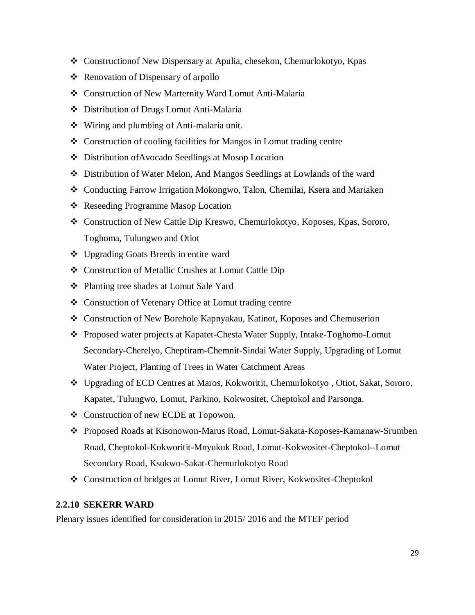- Constructionof New Dispensary at Apulia, chesekon, Chemurlokotyo, Kpas
- ❖ Renovation of Dispensary of arpollo
- Construction of New Marternity Ward Lomut Anti-Malaria
- Distribution of Drugs Lomut Anti-Malaria
- Wiring and plumbing of Anti-malaria unit.
- Construction of cooling facilities for Mangos in Lomut trading centre
- Distribution ofAvocado Seedlings at Mosop Location
- Distribution of Water Melon, And Mangos Seedlings at Lowlands of the ward
- Conducting Farrow Irrigation Mokongwo, Talon, Chemilai, Ksera and Mariaken
- ❖ Reseeding Programme Masop Location
- Construction of New Cattle Dip Kreswo, Chemurlokotyo, Koposes, Kpas, Sororo, Toghoma, Tulungwo and Otiot
- Upgrading Goats Breeds in entire ward
- Construction of Metallic Crushes at Lomut Cattle Dip
- Planting tree shades at Lomut Sale Yard
- Constuction of Vetenary Office at Lomut trading centre
- Construction of New Borehole Kapnyakau, Katinot, Koposes and Chemuserion
- Proposed water projects at Kapatet-Chesta Water Supply, Intake-Toghomo-Lomut Secondary-Cherelyo, Cheptiram-Chemnit-Sindai Water Supply, Upgrading of Lomut Water Project, Planting of Trees in Water Catchment Areas
- Upgrading of ECD Centres at Maros, Kokworitit, Chemurlokotyo , Otiot, Sakat, Sororo, Kapatet, Tulungwo, Lomut, Parkino, Kokwositet, Cheptokol and Parsonga.
- ❖ Construction of new ECDE at Topowon.
- Proposed Roads at Kisonowon-Marus Road, Lomut-Sakata-Koposes-Kamanaw-Srumben Road, Cheptokol-Kokworitit-Mnyukuk Road, Lomut-Kokwositet-Cheptokol--Lomut Secondary Road, Ksukwo-Sakat-Chemurlokotyo Road
- Construction of bridges at Lomut River, Lomut River, Kokwositet-Cheptokol

#### <span id="page-28-0"></span>**2.2.10 SEKERR WARD**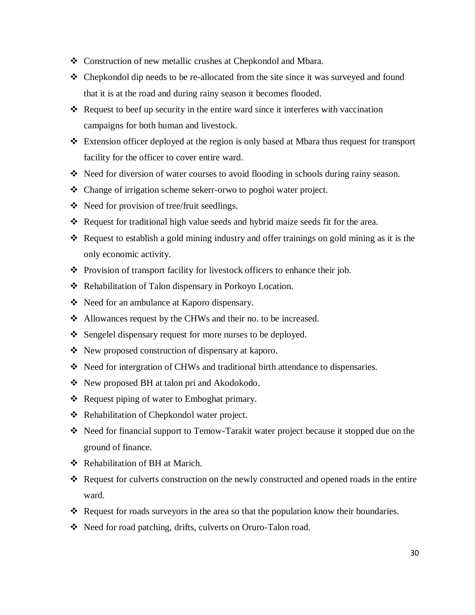- Construction of new metallic crushes at Chepkondol and Mbara.
- Chepkondol dip needs to be re-allocated from the site since it was surveyed and found that it is at the road and during rainy season it becomes flooded.
- $\triangleleft$  Request to beef up security in the entire ward since it interferes with vaccination campaigns for both human and livestock.
- Extension officer deployed at the region is only based at Mbara thus request for transport facility for the officer to cover entire ward.
- $\div$  Need for diversion of water courses to avoid flooding in schools during rainy season.
- Change of irrigation scheme sekerr-orwo to poghoi water project.
- $\triangle$  Need for provision of tree/fruit seedlings.
- \* Request for traditional high value seeds and hybrid maize seeds fit for the area.
- Request to establish a gold mining industry and offer trainings on gold mining as it is the only economic activity.
- Provision of transport facility for livestock officers to enhance their job.
- \* Rehabilitation of Talon dispensary in Porkoyo Location.
- Need for an ambulance at Kaporo dispensary.
- Allowances request by the CHWs and their no. to be increased.
- Sengelel dispensary request for more nurses to be deployed.
- $\triangle$  New proposed construction of dispensary at kaporo.
- Need for intergration of CHWs and traditional birth attendance to dispensaries.
- ❖ New proposed BH at talon pri and Akodokodo.
- ❖ Request piping of water to Emboghat primary.
- ❖ Rehabilitation of Chepkondol water project.
- \* Need for financial support to Temow-Tarakit water project because it stopped due on the ground of finance.
- Rehabilitation of BH at Marich.
- Request for culverts construction on the newly constructed and opened roads in the entire ward.
- $\triangleleft$  Request for roads surveyors in the area so that the population know their boundaries.
- ◆ Need for road patching, drifts, culverts on Oruro-Talon road.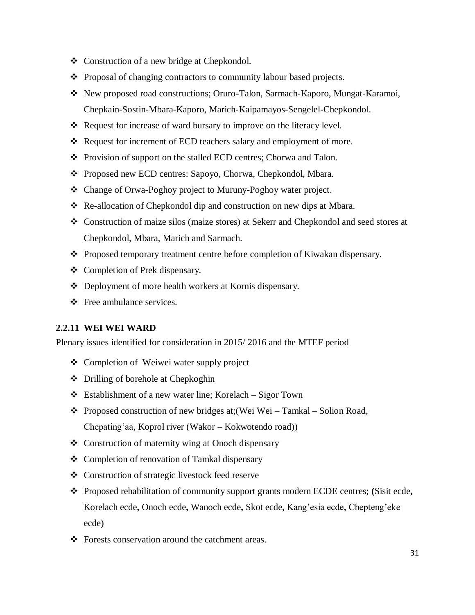- Construction of a new bridge at Chepkondol.
- Proposal of changing contractors to community labour based projects.
- New proposed road constructions; Oruro-Talon, Sarmach-Kaporo, Mungat-Karamoi, Chepkain-Sostin-Mbara-Kaporo, Marich-Kaipamayos-Sengelel-Chepkondol.
- Request for increase of ward bursary to improve on the literacy level.
- Request for increment of ECD teachers salary and employment of more.
- Provision of support on the stalled ECD centres; Chorwa and Talon.
- ◆ Proposed new ECD centres: Sapoyo, Chorwa, Chepkondol, Mbara.
- Change of Orwa-Poghoy project to Muruny-Poghoy water project.
- Re-allocation of Chepkondol dip and construction on new dips at Mbara.
- Construction of maize silos (maize stores) at Sekerr and Chepkondol and seed stores at Chepkondol, Mbara, Marich and Sarmach.
- \* Proposed temporary treatment centre before completion of Kiwakan dispensary.
- Completion of Prek dispensary.
- Deployment of more health workers at Kornis dispensary.
- Free ambulance services.

#### <span id="page-30-0"></span>**2.2.11 WEI WEI WARD**

- ❖ Completion of Weiwei water supply project
- Drilling of borehole at Chepkoghin
- Establishment of a new water line; Korelach Sigor Town
- Proposed construction of new bridges at;(Wei Wei Tamkal Solion Road*,*  Chepating"aa*,* Koprol river (Wakor – Kokwotendo road))
- Construction of maternity wing at Onoch dispensary
- Completion of renovation of Tamkal dispensary
- Construction of strategic livestock feed reserve
- Proposed rehabilitation of community support grants modern ECDE centres; **(**Sisit ecde**,**  Korelach ecde**,** Onoch ecde**,** Wanoch ecde**,** Skot ecde**,** Kang"esia ecde**,** Chepteng"eke ecde)
- ❖ Forests conservation around the catchment areas.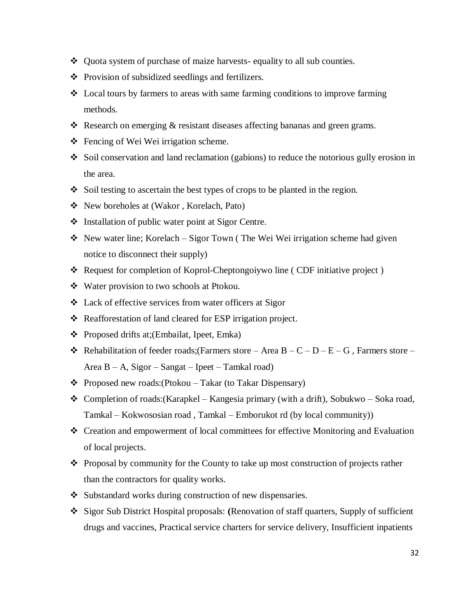- $\triangle$  Ouota system of purchase of maize harvests- equality to all sub counties.
- Provision of subsidized seedlings and fertilizers.
- Local tours by farmers to areas with same farming conditions to improve farming methods.
- Research on emerging & resistant diseases affecting bananas and green grams.
- Fencing of Wei Wei irrigation scheme.
- Soil conservation and land reclamation (gabions) to reduce the notorious gully erosion in the area.
- $\bullet$  Soil testing to ascertain the best types of crops to be planted in the region.
- New boreholes at (Wakor , Korelach, Pato)
- Installation of public water point at Sigor Centre.
- $\cdot$  New water line; Korelach Sigor Town (The Wei Wei irrigation scheme had given notice to disconnect their supply)
- Request for completion of Koprol-Cheptongoiywo line ( CDF initiative project )
- Water provision to two schools at Ptokou.
- Lack of effective services from water officers at Sigor
- ❖ Reafforestation of land cleared for ESP irrigation project.
- Proposed drifts at;(Embailat, Ipeet, Emka)
- Rehabilitation of feeder roads; (Farmers store Area B C D E G, Farmers store Area B – A, Sigor – Sangat – Ipeet – Tamkal road)
- $\triangle$  Proposed new roads: (Ptokou Takar (to Takar Dispensary)
- Completion of roads: (Karapkel Kangesia primary (with a drift), Sobukwo Soka road, Tamkal – Kokwososian road , Tamkal – Emborukot rd (by local community))
- Creation and empowerment of local committees for effective Monitoring and Evaluation of local projects.
- Proposal by community for the County to take up most construction of projects rather than the contractors for quality works.
- ❖ Substandard works during construction of new dispensaries.
- Sigor Sub District Hospital proposals: **(**Renovation of staff quarters, Supply of sufficient drugs and vaccines, Practical service charters for service delivery, Insufficient inpatients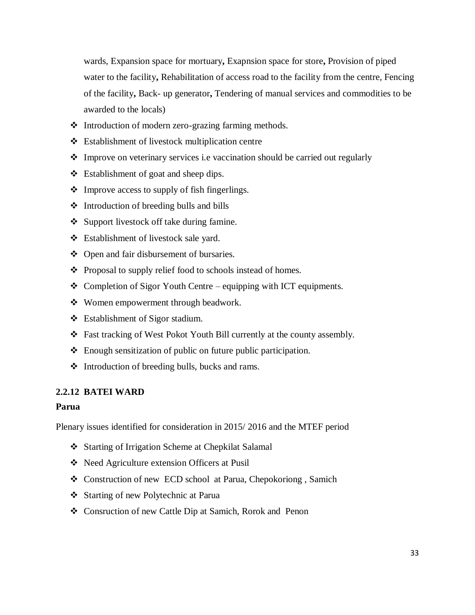wards, Expansion space for mortuary**,** Exapnsion space for store**,** Provision of piped water to the facility**,** Rehabilitation of access road to the facility from the centre, Fencing of the facility**,** Back- up generator**,** Tendering of manual services and commodities to be awarded to the locals)

- Introduction of modern zero-grazing farming methods.
- Establishment of livestock multiplication centre
- Improve on veterinary services i.e vaccination should be carried out regularly
- Establishment of goat and sheep dips.
- $\triangleleft$  Improve access to supply of fish fingerlings.
- $\triangleleft$  Introduction of breeding bulls and bills
- Support livestock off take during famine.
- Establishment of livestock sale yard.
- Open and fair disbursement of bursaries.
- Proposal to supply relief food to schools instead of homes.
- $\triangle$  Completion of Sigor Youth Centre equipping with ICT equipments.
- ❖ Women empowerment through beadwork.
- Establishment of Sigor stadium.
- Fast tracking of West Pokot Youth Bill currently at the county assembly.
- Enough sensitization of public on future public participation.
- $\triangleleft$  Introduction of breeding bulls, bucks and rams.

#### <span id="page-32-0"></span>**2.2.12 BATEI WARD**

#### **Parua**

- Starting of Irrigation Scheme at Chepkilat Salamal
- Need Agriculture extension Officers at Pusil
- Construction of new ECD school at Parua, Chepokoriong , Samich
- Starting of new Polytechnic at Parua
- Consruction of new Cattle Dip at Samich, Rorok and Penon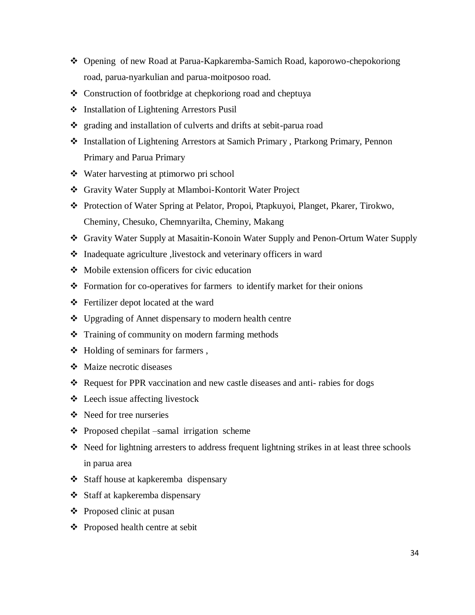- Opening of new Road at Parua-Kapkaremba-Samich Road, kaporowo-chepokoriong road, parua-nyarkulian and parua-moitposoo road.
- Construction of footbridge at chepkoriong road and cheptuya
- ❖ Installation of Lightening Arrestors Pusil
- grading and installation of culverts and drifts at sebit-parua road
- Installation of Lightening Arrestors at Samich Primary , Ptarkong Primary, Pennon Primary and Parua Primary
- Water harvesting at ptimorwo pri school
- Gravity Water Supply at Mlamboi-Kontorit Water Project
- Protection of Water Spring at Pelator, Propoi, Ptapkuyoi, Planget, Pkarer, Tirokwo, Cheminy, Chesuko, Chemnyarilta, Cheminy, Makang
- Gravity Water Supply at Masaitin-Konoin Water Supply and Penon-Ortum Water Supply
- Inadequate agriculture ,livestock and veterinary officers in ward
- Mobile extension officers for civic education
- Formation for co-operatives for farmers to identify market for their onions
- Fertilizer depot located at the ward
- Upgrading of Annet dispensary to modern health centre
- $\triangleleft$  Training of community on modern farming methods
- $\triangleleft$  Holding of seminars for farmers,
- Maize necrotic diseases
- $\triangle$  Request for PPR vaccination and new castle diseases and anti-rabies for dogs
- Leech issue affecting livestock
- Need for tree nurseries
- Proposed chepilat –samal irrigation scheme
- Need for lightning arresters to address frequent lightning strikes in at least three schools in parua area
- Staff house at kapkeremba dispensary
- Staff at kapkeremba dispensary
- $\triangle$  Proposed clinic at pusan
- Proposed health centre at sebit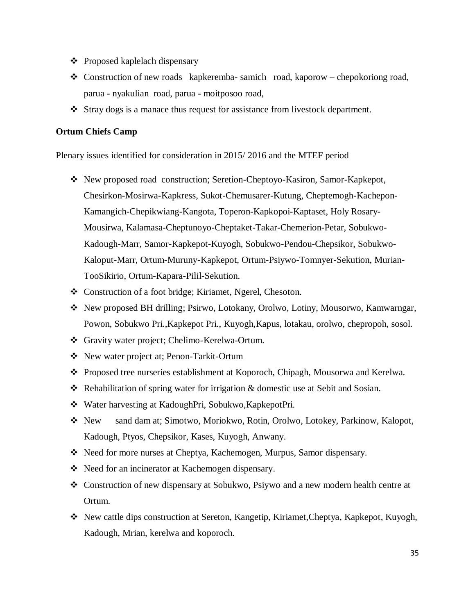- Proposed kaplelach dispensary
- $\triangleleft$  Construction of new roads kapkeremba- samich road, kaporow chepokoriong road, parua - nyakulian road, parua - moitposoo road,
- Stray dogs is a manace thus request for assistance from livestock department.

#### **Ortum Chiefs Camp**

- New proposed road construction; Seretion-Cheptoyo-Kasiron, Samor-Kapkepot, Chesirkon-Mosirwa-Kapkress, Sukot-Chemusarer-Kutung, Cheptemogh-Kachepon-Kamangich-Chepikwiang-Kangota, Toperon-Kapkopoi-Kaptaset, Holy Rosary-Mousirwa, Kalamasa-Cheptunoyo-Cheptaket-Takar-Chemerion-Petar, Sobukwo-Kadough-Marr, Samor-Kapkepot-Kuyogh, Sobukwo-Pendou-Chepsikor, Sobukwo-Kaloput-Marr, Ortum-Muruny-Kapkepot, Ortum-Psiywo-Tomnyer-Sekution, Murian-TooSikirio, Ortum-Kapara-Pilil-Sekution.
- Construction of a foot bridge; Kiriamet, Ngerel, Chesoton.
- New proposed BH drilling; Psirwo, Lotokany, Orolwo, Lotiny, Mousorwo, Kamwarngar, Powon, Sobukwo Pri.,Kapkepot Pri., Kuyogh,Kapus, lotakau, orolwo, chepropoh, sosol.
- Gravity water project; Chelimo-Kerelwa-Ortum.
- New water project at; Penon-Tarkit-Ortum
- Proposed tree nurseries establishment at Koporoch, Chipagh, Mousorwa and Kerelwa.
- Rehabilitation of spring water for irrigation & domestic use at Sebit and Sosian.
- Water harvesting at KadoughPri, Sobukwo,KapkepotPri.
- New sand dam at; Simotwo, Moriokwo, Rotin, Orolwo, Lotokey, Parkinow, Kalopot, Kadough, Ptyos, Chepsikor, Kases, Kuyogh, Anwany.
- Need for more nurses at Cheptya, Kachemogen, Murpus, Samor dispensary.
- ◆ Need for an incinerator at Kachemogen dispensary.
- Construction of new dispensary at Sobukwo, Psiywo and a new modern health centre at Ortum.
- New cattle dips construction at Sereton, Kangetip, Kiriamet,Cheptya, Kapkepot, Kuyogh, Kadough, Mrian, kerelwa and koporoch.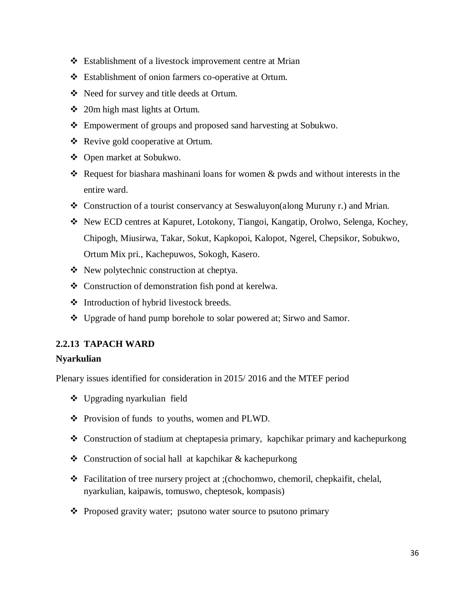- Establishment of a livestock improvement centre at Mrian
- Establishment of onion farmers co-operative at Ortum.
- Need for survey and title deeds at Ortum.
- 20m high mast lights at Ortum.
- Empowerment of groups and proposed sand harvesting at Sobukwo.
- Revive gold cooperative at Ortum.
- Open market at Sobukwo.
- Request for biashara mashinani loans for women  $\&$  pwds and without interests in the entire ward.
- Construction of a tourist conservancy at Seswaluyon(along Muruny r.) and Mrian.
- New ECD centres at Kapuret, Lotokony, Tiangoi, Kangatip, Orolwo, Selenga, Kochey, Chipogh, Miusirwa, Takar, Sokut, Kapkopoi, Kalopot, Ngerel, Chepsikor, Sobukwo, Ortum Mix pri., Kachepuwos, Sokogh, Kasero.
- New polytechnic construction at cheptya.
- Construction of demonstration fish pond at kerelwa.
- ❖ Introduction of hybrid livestock breeds.
- Upgrade of hand pump borehole to solar powered at; Sirwo and Samor.

# <span id="page-35-0"></span>**2.2.13 TAPACH WARD**

#### **Nyarkulian**

- Upgrading nyarkulian field
- \* Provision of funds to youths, women and PLWD.
- Construction of stadium at cheptapesia primary, kapchikar primary and kachepurkong
- Construction of social hall at kapchikar & kachepurkong
- Facilitation of tree nursery project at ;(chochomwo, chemoril, chepkaifit, chelal, nyarkulian, kaipawis, tomuswo, cheptesok, kompasis)
- Proposed gravity water; psutono water source to psutono primary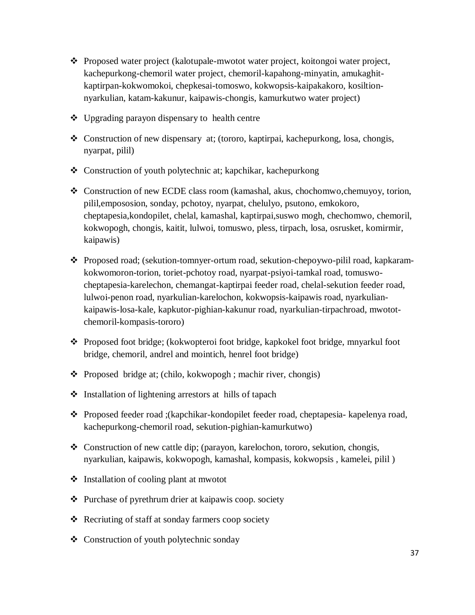- \* Proposed water project (kalotupale-mwotot water project, koitongoi water project, kachepurkong-chemoril water project, chemoril-kapahong-minyatin, amukaghitkaptirpan-kokwomokoi, chepkesai-tomoswo, kokwopsis-kaipakakoro, kosiltionnyarkulian, katam-kakunur, kaipawis-chongis, kamurkutwo water project)
- Upgrading parayon dispensary to health centre
- Construction of new dispensary at; (tororo, kaptirpai, kachepurkong, losa, chongis, nyarpat, pilil)
- Construction of youth polytechnic at; kapchikar, kachepurkong
- Construction of new ECDE class room (kamashal, akus, chochomwo,chemuyoy, torion, pilil,empososion, sonday, pchotoy, nyarpat, chelulyo, psutono, emkokoro, cheptapesia,kondopilet, chelal, kamashal, kaptirpai,suswo mogh, chechomwo, chemoril, kokwopogh, chongis, kaitit, lulwoi, tomuswo, pless, tirpach, losa, osrusket, komirmir, kaipawis)
- Proposed road; (sekution-tomnyer-ortum road, sekution-chepoywo-pilil road, kapkaramkokwomoron-torion, toriet-pchotoy road, nyarpat-psiyoi-tamkal road, tomuswocheptapesia-karelechon, chemangat-kaptirpai feeder road, chelal-sekution feeder road, lulwoi-penon road, nyarkulian-karelochon, kokwopsis-kaipawis road, nyarkuliankaipawis-losa-kale, kapkutor-pighian-kakunur road, nyarkulian-tirpachroad, mwototchemoril-kompasis-tororo)
- Proposed foot bridge; (kokwopteroi foot bridge, kapkokel foot bridge, mnyarkul foot bridge, chemoril, andrel and mointich, henrel foot bridge)
- Proposed bridge at; (chilo, kokwopogh ; machir river, chongis)
- $\triangleleft$  Installation of lightening arrestors at hills of tapach
- Proposed feeder road ;(kapchikar-kondopilet feeder road, cheptapesia- kapelenya road, kachepurkong-chemoril road, sekution-pighian-kamurkutwo)
- Construction of new cattle dip; (parayon, karelochon, tororo, sekution, chongis, nyarkulian, kaipawis, kokwopogh, kamashal, kompasis, kokwopsis , kamelei, pilil )
- $\triangleleft$  Installation of cooling plant at mwotot
- ❖ Purchase of pyrethrum drier at kaipawis coop. society
- Recriuting of staff at sonday farmers coop society
- Construction of youth polytechnic sonday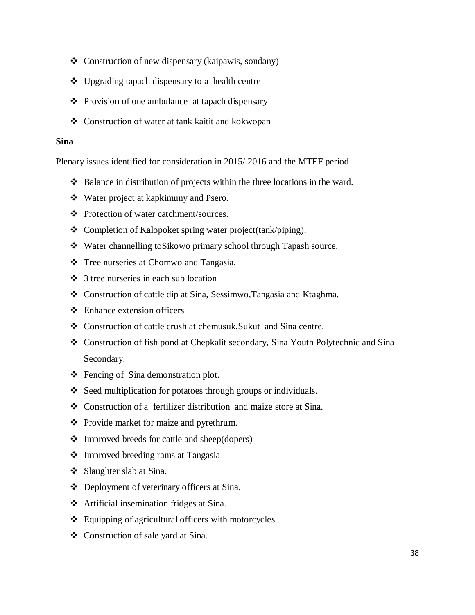- $\triangleleft$  Construction of new dispensary (kaipawis, sondany)
- Upgrading tapach dispensary to a health centre
- $\triangle$  Provision of one ambulance at tapach dispensary
- Construction of water at tank kaitit and kokwopan

#### **Sina**

- ◆ Balance in distribution of projects within the three locations in the ward.
- Water project at kapkimuny and Psero.
- Protection of water catchment/sources.
- Completion of Kalopoket spring water project(tank/piping).
- Water channelling toSikowo primary school through Tapash source.
- Tree nurseries at Chomwo and Tangasia.
- $\div$  3 tree nurseries in each sub location
- Construction of cattle dip at Sina, Sessimwo,Tangasia and Ktaghma.
- Enhance extension officers
- Construction of cattle crush at chemusuk,Sukut and Sina centre.
- Construction of fish pond at Chepkalit secondary, Sina Youth Polytechnic and Sina Secondary.
- $\triangleleft$  Fencing of Sina demonstration plot.
- $\triangle$  Seed multiplication for potatoes through groups or individuals.
- Construction of a fertilizer distribution and maize store at Sina.
- ❖ Provide market for maize and pyrethrum.
- $\triangle$  Improved breeds for cattle and sheep(dopers)
- ❖ Improved breeding rams at Tangasia
- Slaughter slab at Sina.
- Deployment of veterinary officers at Sina.
- Artificial insemination fridges at Sina.
- ❖ Equipping of agricultural officers with motorcycles.
- Construction of sale yard at Sina.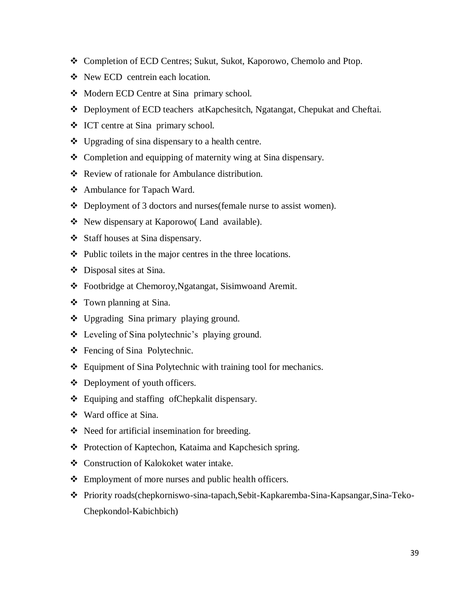- Completion of ECD Centres; Sukut, Sukot, Kaporowo, Chemolo and Ptop.
- New ECD centrein each location.
- Modern ECD Centre at Sina primary school.
- Deployment of ECD teachers atKapchesitch, Ngatangat, Chepukat and Cheftai.
- ICT centre at Sina primary school.
- $\bullet$  Upgrading of sina dispensary to a health centre.
- Completion and equipping of maternity wing at Sina dispensary.
- Review of rationale for Ambulance distribution.
- Ambulance for Tapach Ward.
- Deployment of 3 doctors and nurses(female nurse to assist women).
- New dispensary at Kaporowo( Land available).
- Staff houses at Sina dispensary.
- $\triangle$  Public toilets in the major centres in the three locations.
- Disposal sites at Sina.
- Footbridge at Chemoroy,Ngatangat, Sisimwoand Aremit.
- Town planning at Sina.
- Upgrading Sina primary playing ground.
- Leveling of Sina polytechnic"s playing ground.
- Fencing of Sina Polytechnic.
- Equipment of Sina Polytechnic with training tool for mechanics.
- Deployment of youth officers.
- Equiping and staffing ofChepkalit dispensary.
- Ward office at Sina.
- Need for artificial insemination for breeding.
- ◆ Protection of Kaptechon, Kataima and Kapchesich spring.
- Construction of Kalokoket water intake.
- $\div$  Employment of more nurses and public health officers.
- Priority roads(chepkorniswo-sina-tapach,Sebit-Kapkaremba-Sina-Kapsangar,Sina-Teko-Chepkondol-Kabichbich)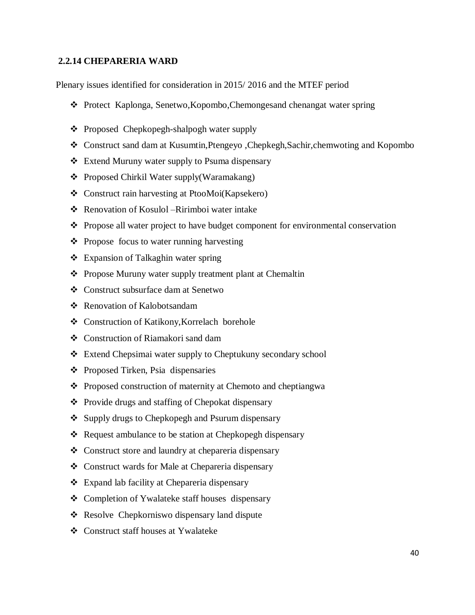#### <span id="page-39-0"></span>**2.2.14 CHEPARERIA WARD**

- Protect Kaplonga, Senetwo,Kopombo,Chemongesand chenangat water spring
- ❖ Proposed Chepkopegh-shalpogh water supply
- Construct sand dam at Kusumtin,Ptengeyo ,Chepkegh,Sachir,chemwoting and Kopombo
- Extend Muruny water supply to Psuma dispensary
- ❖ Proposed Chirkil Water supply(Waramakang)
- Construct rain harvesting at PtooMoi(Kapsekero)
- Renovation of Kosulol –Ririmboi water intake
- $\hat{\mathbf{v}}$  Propose all water project to have budget component for environmental conservation
- ❖ Propose focus to water running harvesting
- Expansion of Talkaghin water spring
- Propose Muruny water supply treatment plant at Chemaltin
- Construct subsurface dam at Senetwo
- **❖** Renovation of Kalobotsandam
- ❖ Construction of Katikony, Korrelach borehole
- Construction of Riamakori sand dam
- Extend Chepsimai water supply to Cheptukuny secondary school
- ❖ Proposed Tirken, Psia dispensaries
- ❖ Proposed construction of maternity at Chemoto and cheptiangwa
- ❖ Provide drugs and staffing of Chepokat dispensary
- ❖ Supply drugs to Chepkopegh and Psurum dispensary
- Request ambulance to be station at Chepkopegh dispensary
- Construct store and laundry at chepareria dispensary
- Construct wards for Male at Chepareria dispensary
- Expand lab facility at Chepareria dispensary
- Completion of Ywalateke staff houses dispensary
- Resolve Chepkorniswo dispensary land dispute
- Construct staff houses at Ywalateke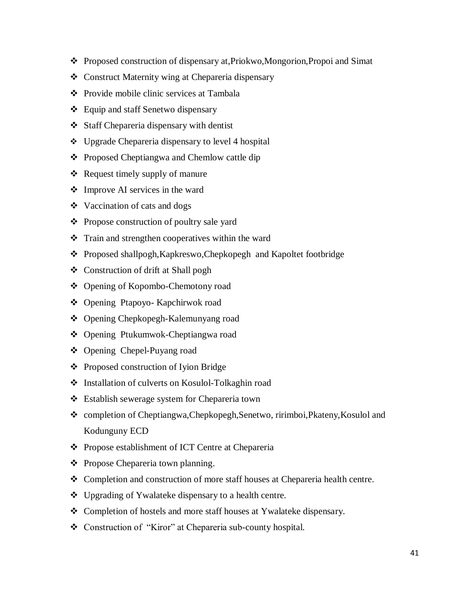- Proposed construction of dispensary at,Priokwo,Mongorion,Propoi and Simat
- Construct Maternity wing at Chepareria dispensary
- **❖** Provide mobile clinic services at Tambala
- ❖ Equip and staff Senetwo dispensary
- Staff Chepareria dispensary with dentist
- $\div$  Upgrade Chepareria dispensary to level 4 hospital
- ❖ Proposed Cheptiangwa and Chemlow cattle dip
- $\triangleleft$  Request timely supply of manure
- $\triangleleft$  Improve AI services in the ward
- $\triangleleft$  Vaccination of cats and dogs
- ❖ Propose construction of poultry sale yard
- Train and strengthen cooperatives within the ward
- Proposed shallpogh,Kapkreswo,Chepkopegh and Kapoltet footbridge
- Construction of drift at Shall pogh
- Opening of Kopombo-Chemotony road
- Opening Ptapoyo- Kapchirwok road
- Opening Chepkopegh-Kalemunyang road
- ❖ Opening Ptukumwok-Cheptiangwa road
- Opening Chepel-Puyang road
- ❖ Proposed construction of Iyion Bridge
- Installation of culverts on Kosulol-Tolkaghin road
- Establish sewerage system for Chepareria town
- completion of Cheptiangwa,Chepkopegh,Senetwo, ririmboi,Pkateny,Kosulol and Kodunguny ECD
- Propose establishment of ICT Centre at Chepareria
- ❖ Propose Chepareria town planning.
- Completion and construction of more staff houses at Chepareria health centre.
- Upgrading of Ywalateke dispensary to a health centre.
- Completion of hostels and more staff houses at Ywalateke dispensary.
- Construction of "Kiror" at Chepareria sub-county hospital.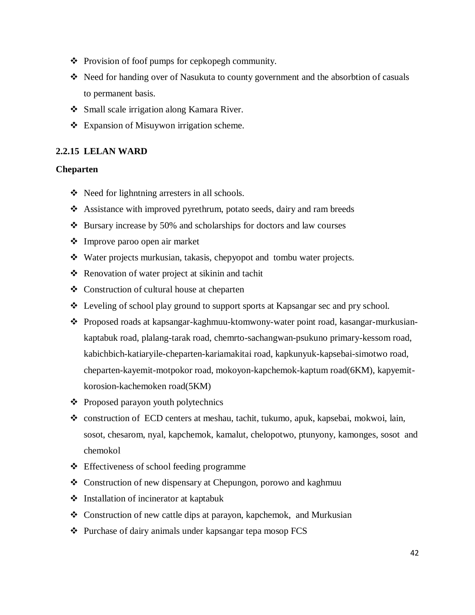- Provision of foof pumps for cepkopegh community.
- Need for handing over of Nasukuta to county government and the absorbtion of casuals to permanent basis.
- Small scale irrigation along Kamara River.
- <span id="page-41-0"></span>❖ Expansion of Misuywon irrigation scheme.

#### **2.2.15 LELAN WARD**

#### **Cheparten**

- Need for lighntning arresters in all schools.
- Assistance with improved pyrethrum, potato seeds, dairy and ram breeds
- $\div$  Bursary increase by 50% and scholarships for doctors and law courses
- Improve paroo open air market
- Water projects murkusian, takasis, chepyopot and tombu water projects.
- Renovation of water project at sikinin and tachit
- ❖ Construction of cultural house at cheparten
- Leveling of school play ground to support sports at Kapsangar sec and pry school.
- Proposed roads at kapsangar-kaghmuu-ktomwony-water point road, kasangar-murkusiankaptabuk road, plalang-tarak road, chemrto-sachangwan-psukuno primary-kessom road, kabichbich-katiaryile-cheparten-kariamakitai road, kapkunyuk-kapsebai-simotwo road, cheparten-kayemit-motpokor road, mokoyon-kapchemok-kaptum road(6KM), kapyemitkorosion-kachemoken road(5KM)
- $\triangle$  Proposed parayon youth polytechnics
- construction of ECD centers at meshau, tachit, tukumo, apuk, kapsebai, mokwoi, lain, sosot, chesarom, nyal, kapchemok, kamalut, chelopotwo, ptunyony, kamonges, sosot and chemokol
- Effectiveness of school feeding programme
- Construction of new dispensary at Chepungon, porowo and kaghmuu
- Installation of incinerator at kaptabuk
- Construction of new cattle dips at parayon, kapchemok, and Murkusian
- ❖ Purchase of dairy animals under kapsangar tepa mosop FCS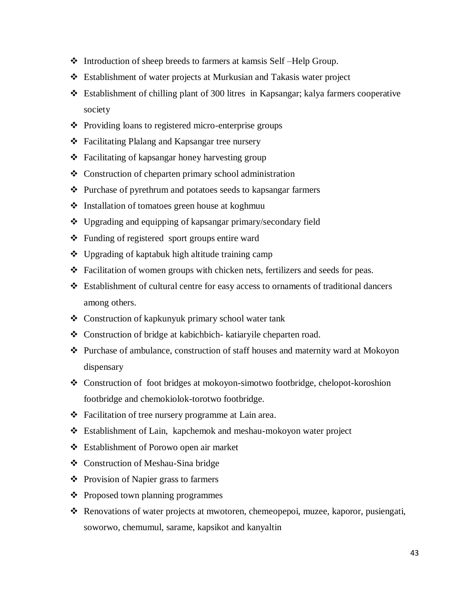- Introduction of sheep breeds to farmers at kamsis Self –Help Group.
- Establishment of water projects at Murkusian and Takasis water project
- Establishment of chilling plant of 300 litres in Kapsangar; kalya farmers cooperative society
- Providing loans to registered micro-enterprise groups
- Facilitating Plalang and Kapsangar tree nursery
- ❖ Facilitating of kapsangar honey harvesting group
- Construction of cheparten primary school administration
- $\triangle$  Purchase of pyrethrum and potatoes seeds to kapsangar farmers
- ❖ Installation of tomatoes green house at koghmuu
- Upgrading and equipping of kapsangar primary/secondary field
- Funding of registered sport groups entire ward
- Upgrading of kaptabuk high altitude training camp
- $\div$  Facilitation of women groups with chicken nets, fertilizers and seeds for peas.
- Establishment of cultural centre for easy access to ornaments of traditional dancers among others.
- Construction of kapkunyuk primary school water tank
- Construction of bridge at kabichbich- katiaryile cheparten road.
- $\cdot \cdot$  Purchase of ambulance, construction of staff houses and maternity ward at Mokoyon dispensary
- Construction of foot bridges at mokoyon-simotwo footbridge, chelopot-koroshion footbridge and chemokiolok-torotwo footbridge.
- ❖ Facilitation of tree nursery programme at Lain area.
- Establishment of Lain, kapchemok and meshau-mokoyon water project
- Establishment of Porowo open air market
- ❖ Construction of Meshau-Sina bridge
- ❖ Provision of Napier grass to farmers
- ❖ Proposed town planning programmes
- Renovations of water projects at mwotoren, chemeopepoi, muzee, kaporor, pusiengati, soworwo, chemumul, sarame, kapsikot and kanyaltin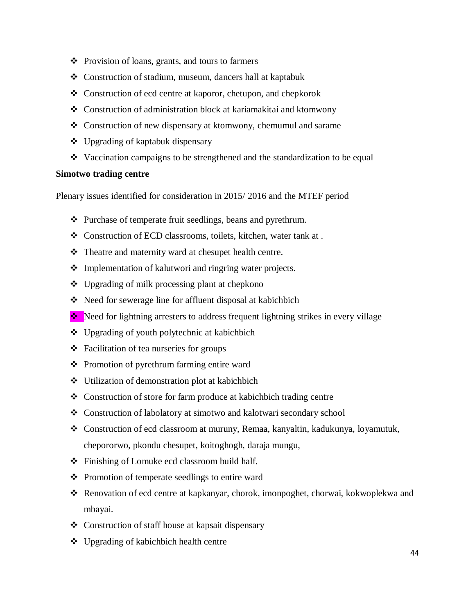- Provision of loans, grants, and tours to farmers
- Construction of stadium, museum, dancers hall at kaptabuk
- Construction of ecd centre at kaporor, chetupon, and chepkorok
- Construction of administration block at kariamakitai and ktomwony
- Construction of new dispensary at ktomwony, chemumul and sarame
- Upgrading of kaptabuk dispensary
- Vaccination campaigns to be strengthened and the standardization to be equal

#### **Simotwo trading centre**

- Purchase of temperate fruit seedlings, beans and pyrethrum.
- Construction of ECD classrooms, toilets, kitchen, water tank at .
- Theatre and maternity ward at chesupet health centre.
- Implementation of kalutwori and ringring water projects.
- Upgrading of milk processing plant at chepkono
- Need for sewerage line for affluent disposal at kabichbich
- ◆ Need for lightning arresters to address frequent lightning strikes in every village
- Upgrading of youth polytechnic at kabichbich
- Facilitation of tea nurseries for groups
- ❖ Promotion of pyrethrum farming entire ward
- Utilization of demonstration plot at kabichbich
- Construction of store for farm produce at kabichbich trading centre
- Construction of labolatory at simotwo and kalotwari secondary school
- Construction of ecd classroom at muruny, Remaa, kanyaltin, kadukunya, loyamutuk, chepororwo, pkondu chesupet, koitoghogh, daraja mungu,
- Finishing of Lomuke ecd classroom build half.
- ❖ Promotion of temperate seedlings to entire ward
- Renovation of ecd centre at kapkanyar, chorok, imonpoghet, chorwai, kokwoplekwa and mbayai.
- Construction of staff house at kapsait dispensary
- Upgrading of kabichbich health centre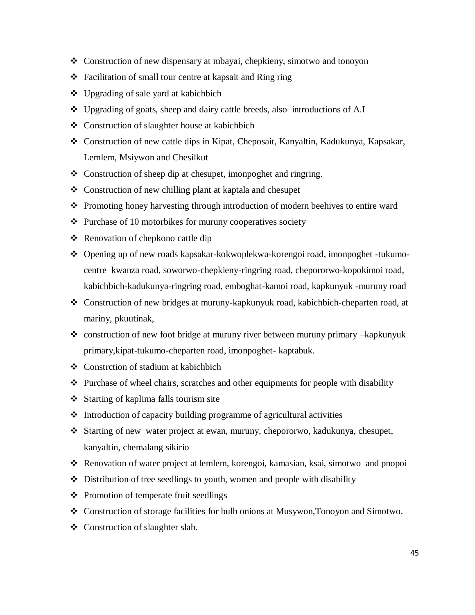- Construction of new dispensary at mbayai, chepkieny, simotwo and tonoyon
- $\triangle$  Facilitation of small tour centre at kapsait and Ring ring
- $\triangleleft$  Upgrading of sale yard at kabichbich
- Upgrading of goats, sheep and dairy cattle breeds, also introductions of A.I
- Construction of slaughter house at kabichbich
- Construction of new cattle dips in Kipat, Cheposait, Kanyaltin, Kadukunya, Kapsakar, Lemlem, Msiywon and Chesilkut
- Construction of sheep dip at chesupet, imonpoghet and ringring.
- Construction of new chilling plant at kaptala and chesupet
- Promoting honey harvesting through introduction of modern beehives to entire ward
- $\triangle$  Purchase of 10 motorbikes for muruny cooperatives society
- Renovation of chepkono cattle dip
- Opening up of new roads kapsakar-kokwoplekwa-korengoi road, imonpoghet -tukumocentre kwanza road, soworwo-chepkieny-ringring road, chepororwo-kopokimoi road, kabichbich-kadukunya-ringring road, emboghat-kamoi road, kapkunyuk -muruny road
- Construction of new bridges at muruny-kapkunyuk road, kabichbich-cheparten road, at mariny, pkuutinak,
- construction of new foot bridge at muruny river between muruny primary –kapkunyuk primary,kipat-tukumo-cheparten road, imonpoghet- kaptabuk.
- Constrction of stadium at kabichbich
- Purchase of wheel chairs, scratches and other equipments for people with disability
- Starting of kaplima falls tourism site
- $\triangleleft$  Introduction of capacity building programme of agricultural activities
- Starting of new water project at ewan, muruny, chepororwo, kadukunya, chesupet, kanyaltin, chemalang sikirio
- Renovation of water project at lemlem, korengoi, kamasian, ksai, simotwo and pnopoi
- $\triangle$  Distribution of tree seedlings to youth, women and people with disability
- ❖ Promotion of temperate fruit seedlings
- Construction of storage facilities for bulb onions at Musywon,Tonoyon and Simotwo.
- ❖ Construction of slaughter slab.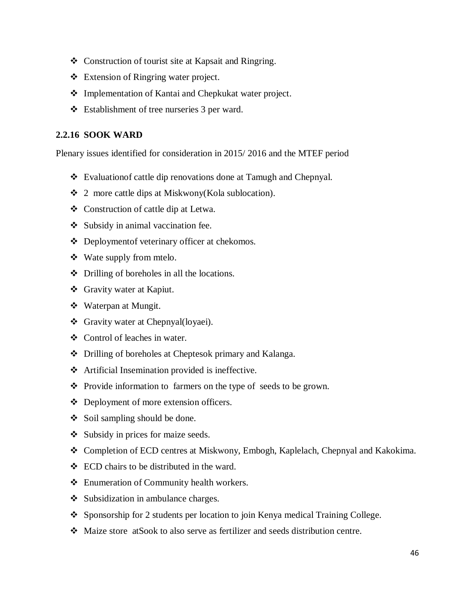- Construction of tourist site at Kapsait and Ringring.
- Extension of Ringring water project.
- ❖ Implementation of Kantai and Chepkukat water project.
- Establishment of tree nurseries 3 per ward.

## <span id="page-45-0"></span>**2.2.16 SOOK WARD**

- Evaluationof cattle dip renovations done at Tamugh and Chepnyal.
- $\div$  2 more cattle dips at Miskwony(Kola sublocation).
- Construction of cattle dip at Letwa.
- Subsidy in animal vaccination fee.
- Deploymentof veterinary officer at chekomos.
- Wate supply from mtelo.
- $\triangle$  Drilling of boreholes in all the locations.
- Gravity water at Kapiut.
- Waterpan at Mungit.
- Gravity water at Chepnyal(loyaei).
- Control of leaches in water.
- Drilling of boreholes at Cheptesok primary and Kalanga.
- Artificial Insemination provided is ineffective.
- Provide information to farmers on the type of seeds to be grown.
- ❖ Deployment of more extension officers.
- $\div$  Soil sampling should be done.
- $\triangleleft$  Subsidy in prices for maize seeds.
- Completion of ECD centres at Miskwony, Embogh, Kaplelach, Chepnyal and Kakokima.
- ECD chairs to be distributed in the ward.
- Enumeration of Community health workers.
- $\bullet$  Subsidization in ambulance charges.
- Sponsorship for 2 students per location to join Kenya medical Training College.
- Maize store atSook to also serve as fertilizer and seeds distribution centre.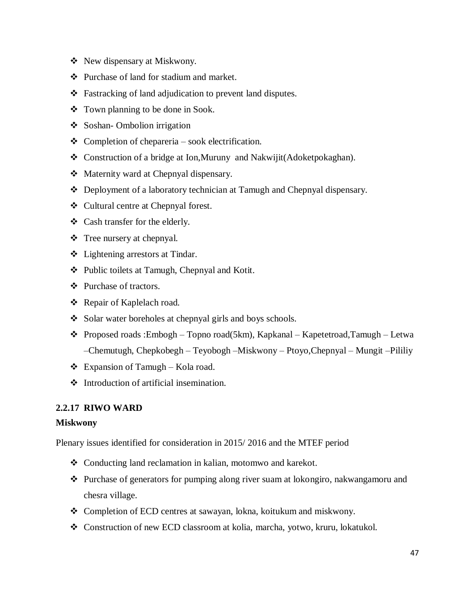- New dispensary at Miskwony.
- Purchase of land for stadium and market.
- Fastracking of land adjudication to prevent land disputes.
- Town planning to be done in Sook.
- Soshan- Ombolion irrigation
- $\triangle$  Completion of chepareria sook electrification.
- Construction of a bridge at Ion,Muruny and Nakwijit(Adoketpokaghan).
- Maternity ward at Chepnyal dispensary.
- Deployment of a laboratory technician at Tamugh and Chepnyal dispensary.
- Cultural centre at Chepnyal forest.
- Cash transfer for the elderly.
- Tree nursery at chepnyal.
- Lightening arrestors at Tindar.
- Public toilets at Tamugh, Chepnyal and Kotit.
- ❖ Purchase of tractors.
- Repair of Kaplelach road.
- Solar water boreholes at chepnyal girls and boys schools.
- $\triangle$  Proposed roads :Embogh Topno road(5km), Kapkanal Kapetetroad,Tamugh Letwa –Chemutugh, Chepkobegh – Teyobogh –Miskwony – Ptoyo,Chepnyal – Mungit –Pililiy
- $\triangleleft$  Expansion of Tamugh Kola road.
- $\triangleleft$  Introduction of artificial insemination.

#### <span id="page-46-0"></span>**2.2.17 RIWO WARD**

#### **Miskwony**

- Conducting land reclamation in kalian, motomwo and karekot.
- $\bullet$  Purchase of generators for pumping along river suam at lokongiro, nakwangamoru and chesra village.
- Completion of ECD centres at sawayan, lokna, koitukum and miskwony.
- Construction of new ECD classroom at kolia, marcha, yotwo, kruru, lokatukol.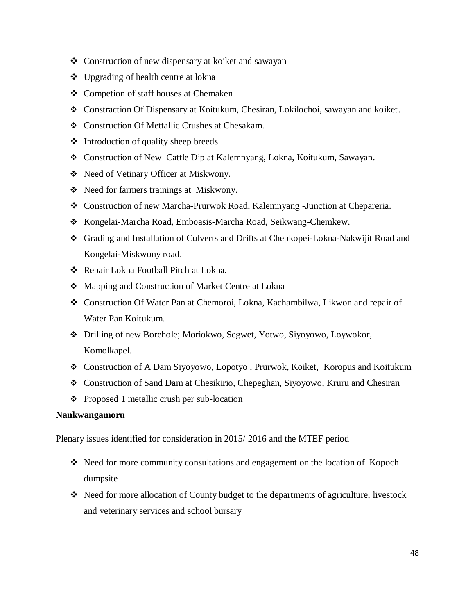- Construction of new dispensary at koiket and sawayan
- $\triangle$  Upgrading of health centre at lokna
- ❖ Competion of staff houses at Chemaken
- Constraction Of Dispensary at Koitukum, Chesiran, Lokilochoi, sawayan and koiket.
- Construction Of Mettallic Crushes at Chesakam.
- $\triangleleft$  Introduction of quality sheep breeds.
- Construction of New Cattle Dip at Kalemnyang, Lokna, Koitukum, Sawayan.
- Need of Vetinary Officer at Miskwony.
- Need for farmers trainings at Miskwony.
- Construction of new Marcha-Prurwok Road, Kalemnyang -Junction at Chepareria.
- Kongelai-Marcha Road, Emboasis-Marcha Road, Seikwang-Chemkew.
- Grading and Installation of Culverts and Drifts at Chepkopei-Lokna-Nakwijit Road and Kongelai-Miskwony road.
- Repair Lokna Football Pitch at Lokna.
- Mapping and Construction of Market Centre at Lokna
- Construction Of Water Pan at Chemoroi, Lokna, Kachambilwa, Likwon and repair of Water Pan Koitukum.
- Drilling of new Borehole; Moriokwo, Segwet, Yotwo, Siyoyowo, Loywokor, Komolkapel.
- Construction of A Dam Siyoyowo, Lopotyo , Prurwok, Koiket, Koropus and Koitukum
- Construction of Sand Dam at Chesikirio, Chepeghan, Siyoyowo, Kruru and Chesiran
- $\triangle$  Proposed 1 metallic crush per sub-location

#### **Nankwangamoru**

- Need for more community consultations and engagement on the location of Kopoch dumpsite
- Need for more allocation of County budget to the departments of agriculture, livestock and veterinary services and school bursary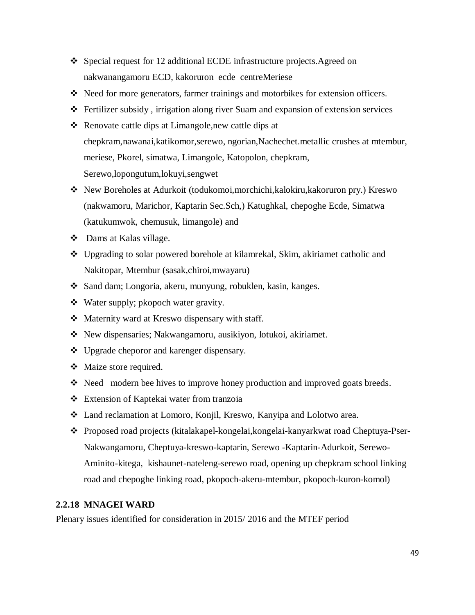- Special request for 12 additional ECDE infrastructure projects.Agreed on nakwanangamoru ECD, kakoruron ecde centreMeriese
- Need for more generators, farmer trainings and motorbikes for extension officers.
- Fertilizer subsidy , irrigation along river Suam and expansion of extension services
- Renovate cattle dips at Limangole,new cattle dips at chepkram,nawanai,katikomor,serewo, ngorian,Nachechet.metallic crushes at mtembur, meriese, Pkorel, simatwa, Limangole, Katopolon, chepkram, Serewo,lopongutum,lokuyi,sengwet
- New Boreholes at Adurkoit (todukomoi,morchichi,kalokiru,kakoruron pry.) Kreswo (nakwamoru, Marichor, Kaptarin Sec.Sch,) Katughkal, chepoghe Ecde, Simatwa (katukumwok, chemusuk, limangole) and
- ❖ Dams at Kalas village.
- Upgrading to solar powered borehole at kilamrekal, Skim, akiriamet catholic and Nakitopar, Mtembur (sasak,chiroi,mwayaru)
- ◆ Sand dam; Longoria, akeru, munyung, robuklen, kasin, kanges.
- Water supply; pkopoch water gravity.
- Maternity ward at Kreswo dispensary with staff.
- ◆ New dispensaries; Nakwangamoru, ausikiyon, lotukoi, akiriamet.
- ❖ Upgrade cheporor and karenger dispensary.
- Maize store required.
- $\div$  Need modern bee hives to improve honey production and improved goats breeds.
- Extension of Kaptekai water from tranzoia
- Land reclamation at Lomoro, Konjil, Kreswo, Kanyipa and Lolotwo area.
- Proposed road projects (kitalakapel-kongelai,kongelai-kanyarkwat road Cheptuya-Pser-Nakwangamoru, Cheptuya-kreswo-kaptarin, Serewo -Kaptarin-Adurkoit, Serewo-Aminito-kitega, kishaunet-nateleng-serewo road, opening up chepkram school linking road and chepoghe linking road, pkopoch-akeru-mtembur, pkopoch-kuron-komol)

## <span id="page-48-0"></span>**2.2.18 MNAGEI WARD**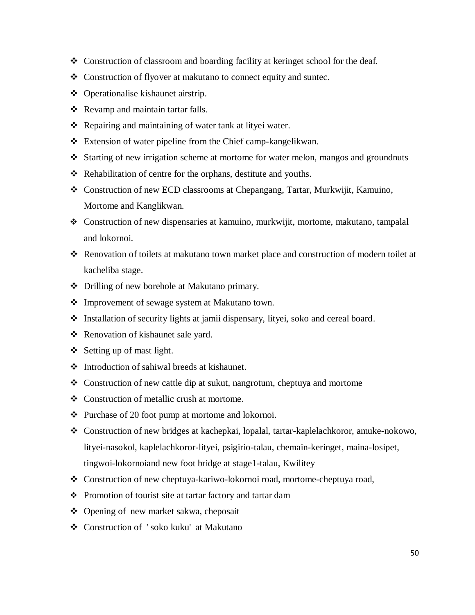- Construction of classroom and boarding facility at keringet school for the deaf.
- Construction of flyover at makutano to connect equity and suntec.
- ❖ Operationalise kishaunet airstrip.
- \* Revamp and maintain tartar falls.
- $\triangle$  Repairing and maintaining of water tank at lityei water.
- Extension of water pipeline from the Chief camp-kangelikwan.
- Starting of new irrigation scheme at mortome for water melon, mangos and groundnuts
- $\triangleleft$  Rehabilitation of centre for the orphans, destitute and youths.
- Construction of new ECD classrooms at Chepangang, Tartar, Murkwijit, Kamuino, Mortome and Kanglikwan.
- Construction of new dispensaries at kamuino, murkwijit, mortome, makutano, tampalal and lokornoi.
- Renovation of toilets at makutano town market place and construction of modern toilet at kacheliba stage.
- Drilling of new borehole at Makutano primary.
- Improvement of sewage system at Makutano town.
- Installation of security lights at jamii dispensary, lityei, soko and cereal board.
- ❖ Renovation of kishaunet sale yard.
- $\div$  Setting up of mast light.
- Introduction of sahiwal breeds at kishaunet.
- $\triangle$  Construction of new cattle dip at sukut, nangrotum, cheptuya and mortome
- ❖ Construction of metallic crush at mortome.
- $\triangle$  Purchase of 20 foot pump at mortome and lokornoi.
- Construction of new bridges at kachepkai, lopalal, tartar-kaplelachkoror, amuke-nokowo, lityei-nasokol, kaplelachkoror-lityei, psigirio-talau, chemain-keringet, maina-losipet, tingwoi-lokornoiand new foot bridge at stage1-talau, Kwilitey
- Construction of new cheptuya-kariwo-lokornoi road, mortome-cheptuya road,
- Promotion of tourist site at tartar factory and tartar dam
- ❖ Opening of new market sakwa, cheposait
- Construction of ' soko kuku' at Makutano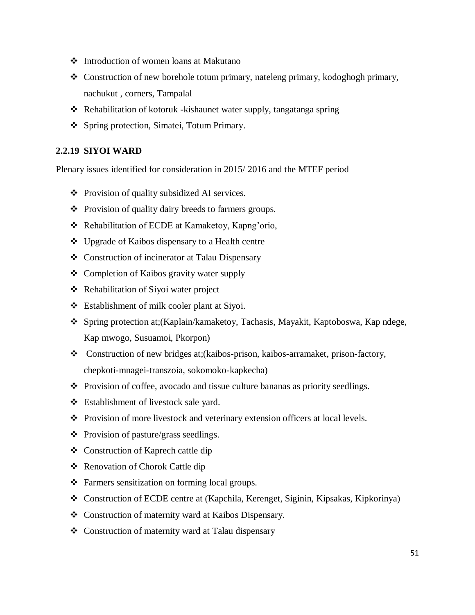- Introduction of women loans at Makutano
- Construction of new borehole totum primary, nateleng primary, kodoghogh primary, nachukut , corners, Tampalal
- \* Rehabilitation of kotoruk -kishaunet water supply, tangatanga spring
- Spring protection, Simatei, Totum Primary.

#### <span id="page-50-0"></span>**2.2.19 SIYOI WARD**

- Provision of quality subsidized AI services.
- Provision of quality dairy breeds to farmers groups.
- ❖ Rehabilitation of ECDE at Kamaketoy, Kapng'orio,
- Upgrade of Kaibos dispensary to a Health centre
- Construction of incinerator at Talau Dispensary
- ❖ Completion of Kaibos gravity water supply
- ❖ Rehabilitation of Siyoi water project
- Establishment of milk cooler plant at Siyoi.
- Spring protection at;(Kaplain/kamaketoy, Tachasis, Mayakit, Kaptoboswa, Kap ndege, Kap mwogo, Susuamoi, Pkorpon)
- Construction of new bridges at;(kaibos-prison, kaibos-arramaket, prison-factory, chepkoti-mnagei-transzoia, sokomoko-kapkecha)
- Provision of coffee, avocado and tissue culture bananas as priority seedlings.
- Establishment of livestock sale yard.
- Provision of more livestock and veterinary extension officers at local levels.
- $\triangleleft$  Provision of pasture/grass seedlings.
- Construction of Kaprech cattle dip
- Renovation of Chorok Cattle dip
- \* Farmers sensitization on forming local groups.
- Construction of ECDE centre at (Kapchila, Kerenget, Siginin, Kipsakas, Kipkorinya)
- Construction of maternity ward at Kaibos Dispensary.
- Construction of maternity ward at Talau dispensary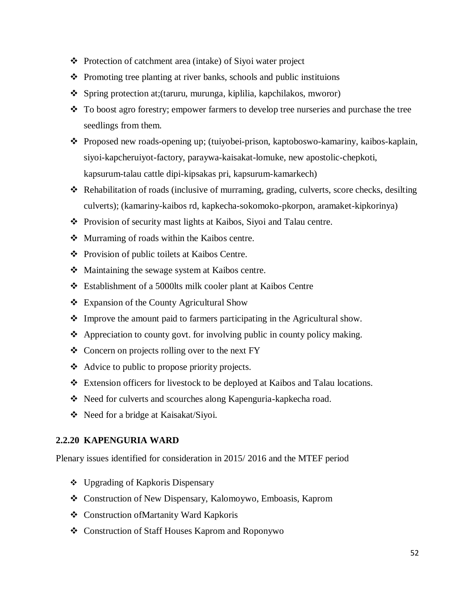- Protection of catchment area (intake) of Siyoi water project
- $\triangle$  Promoting tree planting at river banks, schools and public instituions
- Spring protection at;(taruru, murunga, kiplilia, kapchilakos, mworor)
- \* To boost agro forestry; empower farmers to develop tree nurseries and purchase the tree seedlings from them.
- Proposed new roads-opening up; (tuiyobei-prison, kaptoboswo-kamariny, kaibos-kaplain, siyoi-kapcheruiyot-factory, paraywa-kaisakat-lomuke, new apostolic-chepkoti, kapsurum-talau cattle dipi-kipsakas pri, kapsurum-kamarkech)
- Rehabilitation of roads (inclusive of murraming, grading, culverts, score checks, desilting culverts); (kamariny-kaibos rd, kapkecha-sokomoko-pkorpon, aramaket-kipkorinya)
- Provision of security mast lights at Kaibos, Siyoi and Talau centre.
- Murraming of roads within the Kaibos centre.
- Provision of public toilets at Kaibos Centre.
- Maintaining the sewage system at Kaibos centre.
- Establishment of a 5000lts milk cooler plant at Kaibos Centre
- Expansion of the County Agricultural Show
- Improve the amount paid to farmers participating in the Agricultural show.
- Appreciation to county govt. for involving public in county policy making.
- Concern on projects rolling over to the next FY
- Advice to public to propose priority projects.
- Extension officers for livestock to be deployed at Kaibos and Talau locations.
- \* Need for culverts and scourches along Kapenguria-kapkecha road.
- Need for a bridge at Kaisakat/Siyoi.

#### <span id="page-51-0"></span>**2.2.20 KAPENGURIA WARD**

- Upgrading of Kapkoris Dispensary
- Construction of New Dispensary, Kalomoywo, Emboasis, Kaprom
- Construction ofMartanity Ward Kapkoris
- Construction of Staff Houses Kaprom and Roponywo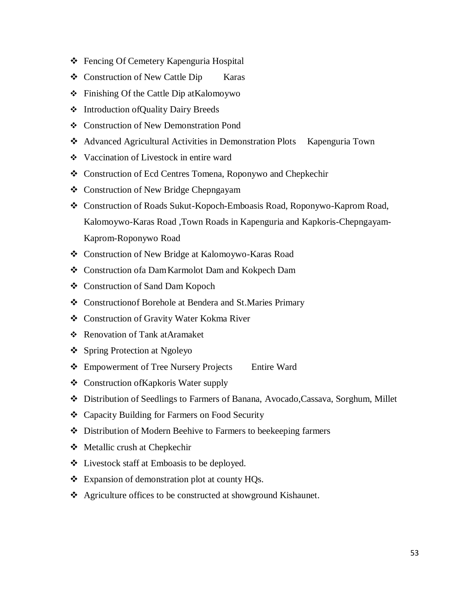- Fencing Of Cemetery Kapenguria Hospital
- ❖ Construction of New Cattle Dip Karas
- Finishing Of the Cattle Dip atKalomoywo
- Introduction ofQuality Dairy Breeds
- Construction of New Demonstration Pond
- Advanced Agricultural Activities in Demonstration Plots Kapenguria Town
- Vaccination of Livestock in entire ward
- Construction of Ecd Centres Tomena, Roponywo and Chepkechir
- ❖ Construction of New Bridge Chepngayam
- Construction of Roads Sukut-Kopoch-Emboasis Road, Roponywo-Kaprom Road, Kalomoywo-Karas Road ,Town Roads in Kapenguria and Kapkoris-Chepngayam-Kaprom-Roponywo Road
- Construction of New Bridge at Kalomoywo-Karas Road
- Construction ofa DamKarmolot Dam and Kokpech Dam
- Construction of Sand Dam Kopoch
- Constructionof Borehole at Bendera and St.Maries Primary
- Construction of Gravity Water Kokma River
- Renovation of Tank atAramaket
- ❖ Spring Protection at Ngoleyo
- ❖ Empowerment of Tree Nursery Projects Entire Ward
- Construction ofKapkoris Water supply
- Distribution of Seedlings to Farmers of Banana, Avocado,Cassava, Sorghum, Millet
- Capacity Building for Farmers on Food Security
- Distribution of Modern Beehive to Farmers to beekeeping farmers
- Metallic crush at Chepkechir
- Livestock staff at Emboasis to be deployed.
- Expansion of demonstration plot at county HQs.
- Agriculture offices to be constructed at showground Kishaunet.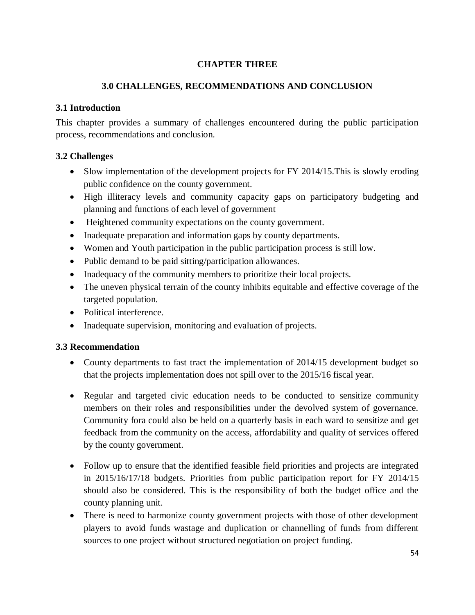# **CHAPTER THREE**

# **3.0 CHALLENGES, RECOMMENDATIONS AND CONCLUSION**

# <span id="page-53-2"></span><span id="page-53-1"></span><span id="page-53-0"></span>**3.1 Introduction**

This chapter provides a summary of challenges encountered during the public participation process, recommendations and conclusion.

# <span id="page-53-3"></span>**3.2 Challenges**

- Slow implementation of the development projects for FY 2014/15. This is slowly eroding public confidence on the county government.
- High illiteracy levels and community capacity gaps on participatory budgeting and planning and functions of each level of government
- Heightened community expectations on the county government.
- Inadequate preparation and information gaps by county departments.
- Women and Youth participation in the public participation process is still low.
- Public demand to be paid sitting/participation allowances.
- Inadequacy of the community members to prioritize their local projects.
- The uneven physical terrain of the county inhibits equitable and effective coverage of the targeted population.
- Political interference.
- Inadequate supervision, monitoring and evaluation of projects.

# <span id="page-53-4"></span>**3.3 Recommendation**

- County departments to fast tract the implementation of 2014/15 development budget so that the projects implementation does not spill over to the 2015/16 fiscal year.
- Regular and targeted civic education needs to be conducted to sensitize community members on their roles and responsibilities under the devolved system of governance. Community fora could also be held on a quarterly basis in each ward to sensitize and get feedback from the community on the access, affordability and quality of services offered by the county government.
- Follow up to ensure that the identified feasible field priorities and projects are integrated in 2015/16/17/18 budgets. Priorities from public participation report for FY 2014/15 should also be considered. This is the responsibility of both the budget office and the county planning unit.
- There is need to harmonize county government projects with those of other development players to avoid funds wastage and duplication or channelling of funds from different sources to one project without structured negotiation on project funding.